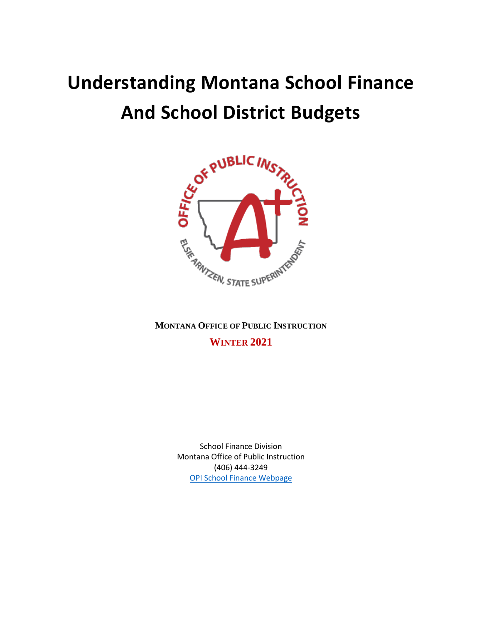# **Understanding Montana School Finance**



**MONTANA OFFICE OF PUBLIC INSTRUCTION WINTER 2021**

> School Finance Division Montana Office of Public Instruction (406) 444-3249 [OPI School Finance Webpage](http://opi.mt.gov/Administrators/Payments-to-School-Co-ops)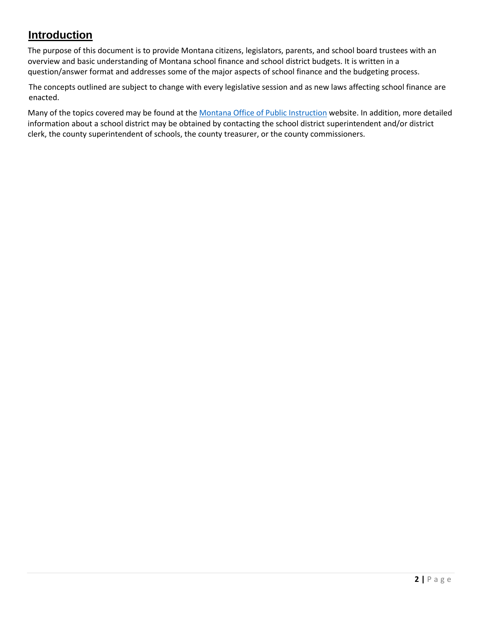# **Introduction**

The purpose of this document is to provide Montana citizens, legislators, parents, and school board trustees with an overview and basic understanding of Montana school finance and school district budgets. It is written in a question/answer format and addresses some of the major aspects of school finance and the budgeting process.

The concepts outlined are subject to change with every legislative session and as new laws affecting school finance are enacted.

Many of the topics covered may be found at the [Montana Office of](http://opi.mt.gov/) Public Instruction website. In addition, more detailed information about a school district may be obtained by contacting the school district superintendent and/or district clerk, the county superintendent of schools, the county treasurer, or the county commissioners.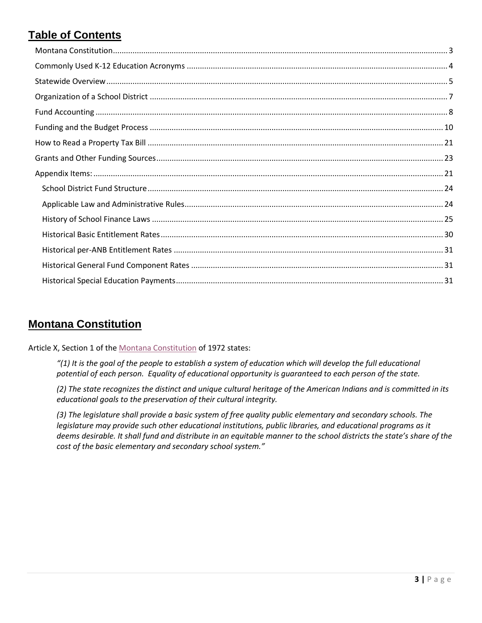# **Table of Contents**

# <span id="page-2-0"></span>**Montana Constitution**

Article X, Section 1 of the [Montana Constitution](https://courts.mt.gov/External/library/docs/72constit.pdf) of 1972 states:

*"(1) It is the goal of the people to establish a system of education which will develop the full educational potential of each person. Equality of educational opportunity is guaranteed to each person of the state.* 

*(2) The state recognizes the distinct and unique cultural heritage of the American Indians and is committed in its educational goals to the preservation of their cultural integrity.* 

*(3) The legislature shall provide a basic system of free quality public elementary and secondary schools. The legislature may provide such other educational institutions, public libraries, and educational programs as it deems desirable. It shall fund and distribute in an equitable manner to the school districts the state's share of the cost of the basic elementary and secondary school system."*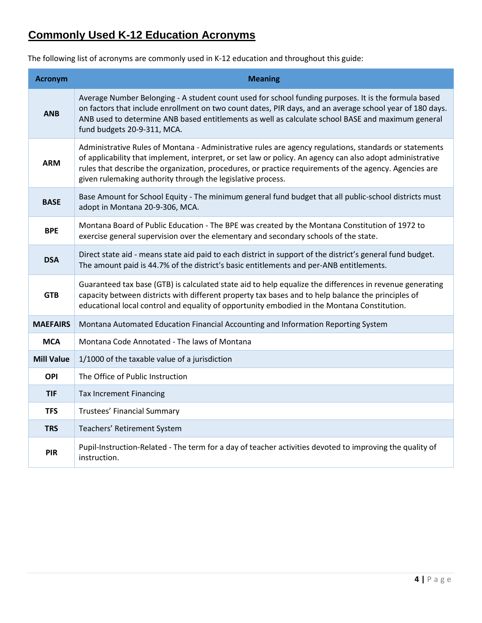# <span id="page-3-0"></span>**Commonly Used K-12 Education Acronyms**

The following list of acronyms are commonly used in K-12 education and throughout this guide:

| <b>Acronym</b>    | <b>Meaning</b>                                                                                                                                                                                                                                                                                                                                                                               |  |  |  |  |
|-------------------|----------------------------------------------------------------------------------------------------------------------------------------------------------------------------------------------------------------------------------------------------------------------------------------------------------------------------------------------------------------------------------------------|--|--|--|--|
| <b>ANB</b>        | Average Number Belonging - A student count used for school funding purposes. It is the formula based<br>on factors that include enrollment on two count dates, PIR days, and an average school year of 180 days.<br>ANB used to determine ANB based entitlements as well as calculate school BASE and maximum general<br>fund budgets 20-9-311, MCA.                                         |  |  |  |  |
| <b>ARM</b>        | Administrative Rules of Montana - Administrative rules are agency regulations, standards or statements<br>of applicability that implement, interpret, or set law or policy. An agency can also adopt administrative<br>rules that describe the organization, procedures, or practice requirements of the agency. Agencies are<br>given rulemaking authority through the legislative process. |  |  |  |  |
| <b>BASE</b>       | Base Amount for School Equity - The minimum general fund budget that all public-school districts must<br>adopt in Montana 20-9-306, MCA.                                                                                                                                                                                                                                                     |  |  |  |  |
| <b>BPE</b>        | Montana Board of Public Education - The BPE was created by the Montana Constitution of 1972 to<br>exercise general supervision over the elementary and secondary schools of the state.                                                                                                                                                                                                       |  |  |  |  |
| <b>DSA</b>        | Direct state aid - means state aid paid to each district in support of the district's general fund budget.<br>The amount paid is 44.7% of the district's basic entitlements and per-ANB entitlements.                                                                                                                                                                                        |  |  |  |  |
| <b>GTB</b>        | Guaranteed tax base (GTB) is calculated state aid to help equalize the differences in revenue generating<br>capacity between districts with different property tax bases and to help balance the principles of<br>educational local control and equality of opportunity embodied in the Montana Constitution.                                                                                |  |  |  |  |
| <b>MAEFAIRS</b>   | Montana Automated Education Financial Accounting and Information Reporting System                                                                                                                                                                                                                                                                                                            |  |  |  |  |
| <b>MCA</b>        | Montana Code Annotated - The laws of Montana                                                                                                                                                                                                                                                                                                                                                 |  |  |  |  |
| <b>Mill Value</b> | 1/1000 of the taxable value of a jurisdiction                                                                                                                                                                                                                                                                                                                                                |  |  |  |  |
| OPI               | The Office of Public Instruction                                                                                                                                                                                                                                                                                                                                                             |  |  |  |  |
| <b>TIF</b>        | <b>Tax Increment Financing</b>                                                                                                                                                                                                                                                                                                                                                               |  |  |  |  |
| <b>TFS</b>        | Trustees' Financial Summary                                                                                                                                                                                                                                                                                                                                                                  |  |  |  |  |
| <b>TRS</b>        | Teachers' Retirement System                                                                                                                                                                                                                                                                                                                                                                  |  |  |  |  |
| <b>PIR</b>        | Pupil-Instruction-Related - The term for a day of teacher activities devoted to improving the quality of<br>instruction.                                                                                                                                                                                                                                                                     |  |  |  |  |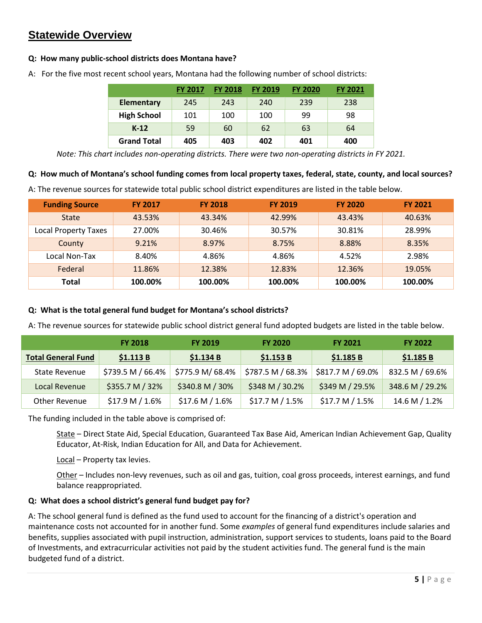# <span id="page-4-0"></span>**Statewide Overview**

#### **Q: How many public-school districts does Montana have?**

| A: For the five most recent school years, Montana had the following number of school districts: |  |  |
|-------------------------------------------------------------------------------------------------|--|--|
|                                                                                                 |  |  |

|                    | <b>FY 2017</b> | <b>FY 2018</b> | <b>FY 2019</b> | <b>FY 2020</b> | <b>FY 2021</b> |
|--------------------|----------------|----------------|----------------|----------------|----------------|
| <b>Elementary</b>  | 245            | 243            | 240            | 239            | 238            |
| <b>High School</b> | 101            | 100            | 100            | 99             | 98             |
| $K-12$             | 59             | 60             | 62             | 63             | 64             |
| <b>Grand Total</b> | 405            | 403            | 402            | 401            | 400            |

*Note: This chart includes non-operating districts. There were two non-operating districts in FY 2021.*

#### **Q: How much of Montana's school funding comes from local property taxes, federal, state, county, and local sources?**

A: The revenue sources for statewide total public school district expenditures are listed in the table below.

| <b>Funding Source</b>       | <b>FY 2017</b> | <b>FY 2018</b> | <b>FY 2019</b> | <b>FY 2020</b> | <b>FY 2021</b> |
|-----------------------------|----------------|----------------|----------------|----------------|----------------|
| <b>State</b>                | 43.53%         | 43.34%         | 42.99%         | 43.43%         | 40.63%         |
| <b>Local Property Taxes</b> | 27.00%         | 30.46%         | 30.57%         | 30.81%         | 28.99%         |
| County                      | 9.21%          | 8.97%          | 8.75%          | 8.88%          | 8.35%          |
| Local Non-Tax               | 8.40%          | 4.86%          | 4.86%          | 4.52%          | 2.98%          |
| Federal                     | 11.86%         | 12.38%         | 12.83%         | 12.36%         | 19.05%         |
| Total                       | 100.00%        | 100.00%        | 100.00%        | 100.00%        | 100.00%        |

#### **Q: What is the total general fund budget for Montana's school districts?**

A: The revenue sources for statewide public school district general fund adopted budgets are listed in the table below.

|                           | <b>FY 2018</b>    | <b>FY 2019</b>    | <b>FY 2020</b>    | <b>FY 2021</b>    | <b>FY 2022</b>  |
|---------------------------|-------------------|-------------------|-------------------|-------------------|-----------------|
| <b>Total General Fund</b> | \$1.113B          | \$1.134 B         | \$1.153B          | \$1.185 B         | \$1.185B        |
| State Revenue             | \$739.5 M / 66.4% | \$775.9 M/ 68.4%  | \$787.5 M / 68.3% | \$817.7 M / 69.0% | 832.5 M / 69.6% |
| Local Revenue             | \$355.7 M / 32%   | \$340.8 M / 30%   | \$348 M / 30.2%   | \$349 M / 29.5%   | 348.6 M / 29.2% |
| Other Revenue             | $$17.9 M / 1.6\%$ | $$17.6 M / 1.6\%$ | $$17.7 M / 1.5\%$ | $$17.7 M / 1.5\%$ | 14.6 M / 1.2%   |

The funding included in the table above is comprised of:

State – Direct State Aid, Special Education, Guaranteed Tax Base Aid, American Indian Achievement Gap, Quality Educator, At-Risk, Indian Education for All, and Data for Achievement.

Local – Property tax levies.

Other – Includes non-levy revenues, such as oil and gas, tuition, coal gross proceeds, interest earnings, and fund balance reappropriated.

#### **Q: What does a school district's general fund budget pay for?**

A: The school general fund is defined as the fund used to account for the financing of a district's operation and maintenance costs not accounted for in another fund. Some *examples* of general fund expenditures include salaries and benefits, supplies associated with pupil instruction, administration, support services to students, loans paid to the Board of Investments, and extracurricular activities not paid by the student activities fund. The general fund is the main budgeted fund of a district.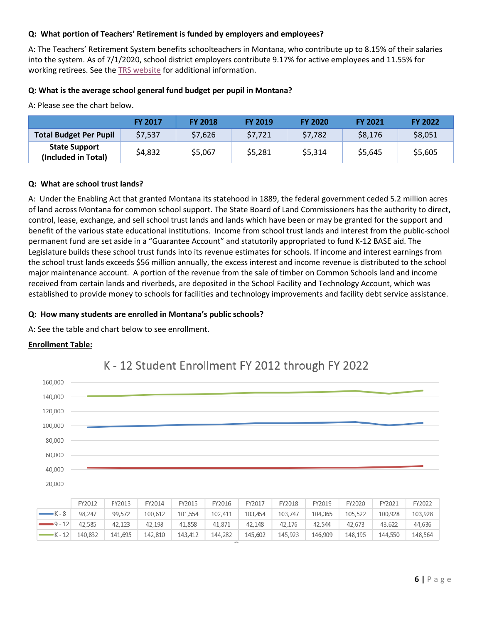#### **Q: What portion of Teachers' Retirement is funded by employers and employees?**

A: The Teachers' Retirement System benefits schoolteachers in Montana, who contribute up to 8.15% of their salaries into the system. As of 7/1/2020, school district employers contribute 9.17% for active employees and 11.55% for working retirees. See the TRS [website](https://trs.mt.gov/TrsInfo/RatesCharts) for additional information.

#### **Q: What is the average school general fund budget per pupil in Montana?**

A: Please see the chart below.

|                                             | <b>FY 2017</b> | <b>FY 2018</b> | <b>FY 2019</b> | <b>FY 2020</b> | <b>FY 2021</b> | <b>FY 2022</b> |
|---------------------------------------------|----------------|----------------|----------------|----------------|----------------|----------------|
| <b>Total Budget Per Pupil</b>               | \$7,537        | \$7,626        | \$7,721        | \$7,782        | \$8,176        | \$8,051        |
| <b>State Support</b><br>(Included in Total) | \$4,832        | \$5,067        | \$5,281        | \$5,314        | \$5,645        | \$5,605        |

#### **Q: What are school trust lands?**

A: Under the Enabling Act that granted Montana its statehood in 1889, the federal government ceded 5.2 million acres of land across Montana for common school support. The State Board of Land Commissioners has the authority to direct, control, lease, exchange, and sell school trust lands and lands which have been or may be granted for the support and benefit of the various state educational institutions. Income from school trust lands and interest from the public-school permanent fund are set aside in a "Guarantee Account" and statutorily appropriated to fund K-12 BASE aid. The Legislature builds these school trust funds into its revenue estimates for schools. If income and interest earnings from the school trust lands exceeds \$56 million annually, the excess interest and income revenue is distributed to the school major maintenance account. A portion of the revenue from the sale of timber on Common Schools land and income received from certain lands and riverbeds, are deposited in the School Facility and Technology Account, which was established to provide money to schools for facilities and technology improvements and facility debt service assistance.

#### **Q: How many students are enrolled in Montana's public schools?**

A: See the table and chart below to see enrollment.

#### **Enrollment Table:**

 $-K - 12$ 

140,832

141,695

142,810

143,412



144,282

145,602

145,923

146,909

148,195

144,550

# K - 12 Student Enrollment FY 2012 through FY 2022

148,564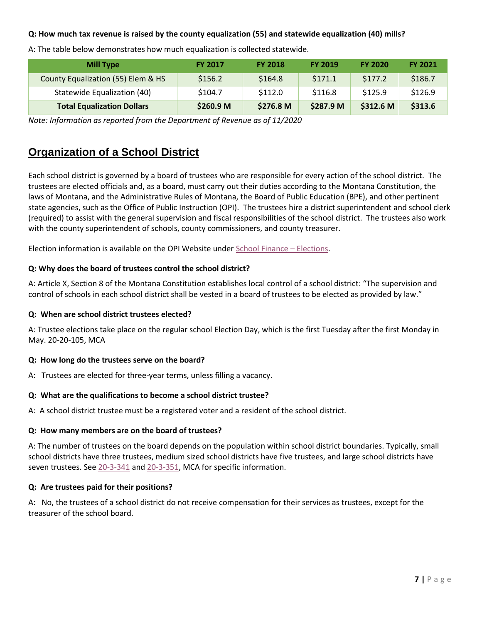# **Q: How much tax revenue is raised by the county equalization (55) and statewide equalization (40) mills?**

| <b>Mill Type</b>                   | <b>FY 2017</b>       | <b>FY 2018</b> | <b>FY 2019</b> | <b>FY 2020</b>       | <b>FY 2021</b> |
|------------------------------------|----------------------|----------------|----------------|----------------------|----------------|
| County Equalization (55) Elem & HS | \$156.2              | \$164.8        | \$171.1        | \$177.2              | \$186.7        |
| Statewide Equalization (40)        | \$104.7              | \$112.0        | \$116.8        | \$125.9              | \$126.9        |
| <b>Total Equalization Dollars</b>  | \$260.9 <sub>M</sub> | \$276.8 M      | \$287.9 M      | \$312.6 <sub>M</sub> | \$313.6        |

A: The table below demonstrates how much equalization is collected statewide.

*Note: Information as reported from the Department of Revenue as of 11/2020*

# <span id="page-6-0"></span>**Organization of a School District**

Each school district is governed by a board of trustees who are responsible for every action of the school district. The trustees are elected officials and, as a board, must carry out their duties according to the Montana Constitution, the laws of Montana, and the Administrative Rules of Montana, the Board of Public Education (BPE), and other pertinent state agencies, such as the Office of Public Instruction (OPI). The trustees hire a district superintendent and school clerk (required) to assist with the general supervision and fiscal responsibilities of the school district. The trustees also work with the county superintendent of schools, county commissioners, and county treasurer.

Election information is available on the OPI Website unde[r School Finance](http://opi.mt.gov/Leadership/Finance-Grants/School-Finance/Elections) – Elections.

#### **Q: Why does the board of trustees control the school district?**

A: Article X, Section 8 of the Montana Constitution establishes local control of a school district: "The supervision and control of schools in each school district shall be vested in a board of trustees to be elected as provided by law."

#### **Q: When are school district trustees elected?**

A: Trustee elections take place on the regular school Election Day, which is the first Tuesday after the first Monday in May. 20-20-105, MCA

#### **Q: How long do the trustees serve on the board?**

A: Trustees are elected for three-year terms, unless filling a vacancy.

# **Q: What are the qualifications to become a school district trustee?**

A: A school district trustee must be a registered voter and a resident of the school district.

#### **Q: How many members are on the board of trustees?**

A: The number of trustees on the board depends on the population within school district boundaries. Typically, small school districts have three trustees, medium sized school districts have five trustees, and large school districts have seven trustees. See [20-3-341](http://leg.mt.gov/bills/mca/title_0200/chapter_0030/part_0030/section_0410/0200-0030-0030-0410.html) and [20-3-351,](http://leg.mt.gov/bills/mca/title_0200/chapter_0030/part_0030/section_0510/0200-0030-0030-0510.html) MCA for specific information.

# **Q: Are trustees paid for their positions?**

A: No, the trustees of a school district do not receive compensation for their services as trustees, except for the treasurer of the school board.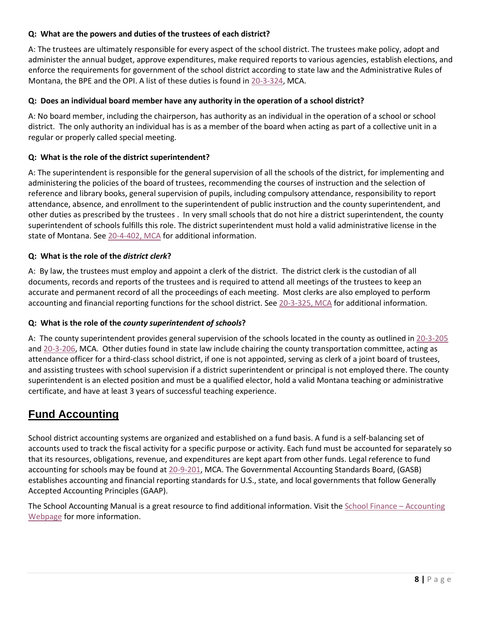### **Q: What are the powers and duties of the trustees of each district?**

A: The trustees are ultimately responsible for every aspect of the school district. The trustees make policy, adopt and administer the annual budget, approve expenditures, make required reports to various agencies, establish elections, and enforce the requirements for government of the school district according to state law and the Administrative Rules of Montana, the BPE and the OPI. A list of these duties is found in [20-3-324,](http://leg.mt.gov/bills/mca/title_0200/chapter_0030/part_0030/section_0240/0200-0030-0030-0240.html) MCA.

#### **Q: Does an individual board member have any authority in the operation of a school district?**

A: No board member, including the chairperson, has authority as an individual in the operation of a school or school district. The only authority an individual has is as a member of the board when acting as part of a collective unit in a regular or properly called special meeting.

#### **Q: What is the role of the district superintendent?**

A: The superintendent is responsible for the general supervision of all the schools of the district, for implementing and administering the policies of the board of trustees, recommending the courses of instruction and the selection of reference and library books, general supervision of pupils, including compulsory attendance, responsibility to report attendance, absence, and enrollment to the superintendent of public instruction and the county superintendent, and other duties as prescribed by the trustees . In very small schools that do not hire a district superintendent, the county superintendent of schools fulfills this role. The district superintendent must hold a valid administrative license in the state of Montana. See [20-4-402, MCA](http://leg.mt.gov/bills/mca/title_0200/chapter_0040/part_0040/section_0020/0200-0040-0040-0020.html) for additional information.

#### **Q: What is the role of the** *district clerk***?**

A: By law, the trustees must employ and appoint a clerk of the district. The district clerk is the custodian of all documents, records and reports of the trustees and is required to attend all meetings of the trustees to keep an accurate and permanent record of all the proceedings of each meeting. Most clerks are also employed to perform accounting and financial reporting functions for the school district. Se[e 20-3-325, MCA](http://leg.mt.gov/bills/mca/title_0200/chapter_0030/part_0030/section_0250/0200-0030-0030-0250.html) for additional information.

#### **Q: What is the role of the** *county superintendent of schools***?**

A: The county superintendent provides general supervision of the schools located in the county as outlined in [20-3-205](http://leg.mt.gov/bills/mca/title_0200/chapter_0030/part_0020/section_0050/0200-0030-0020-0050.html) and [20-3-206,](http://leg.mt.gov/bills/mca/title_0200/chapter_0030/part_0020/section_0060/0200-0030-0020-0060.html) MCA. Other duties found in state law include chairing the county transportation committee, acting as attendance officer for a third-class school district, if one is not appointed, serving as clerk of a joint board of trustees, and assisting trustees with school supervision if a district superintendent or principal is not employed there. The county superintendent is an elected position and must be a qualified elector, hold a valid Montana teaching or administrative certificate, and have at least 3 years of successful teaching experience.

# <span id="page-7-0"></span>**Fund Accounting**

School district accounting systems are organized and established on a fund basis. A fund is a self-balancing set of accounts used to track the fiscal activity for a specific purpose or activity. Each fund must be accounted for separately so that its resources, obligations, revenue, and expenditures are kept apart from other funds. Legal reference to fund accounting for schools may be found a[t 20-9-201,](http://leg.mt.gov/bills/mca/title_0200/chapter_0090/part_0020/section_0010/0200-0090-0020-0010.html) MCA. The Governmental Accounting Standards Board, (GASB) establishes accounting and financial reporting standards for U.S., state, and local governments that follow Generally Accepted Accounting Principles (GAAP).

The School Accounting Manual is a great resource to find additional information. Visit the [School Finance](http://opi.mt.gov/Leadership/Finance-Grants/School-Finance/School-Finance-Accounting) – Accounting [Webpage](http://opi.mt.gov/Leadership/Finance-Grants/School-Finance/School-Finance-Accounting) for more information.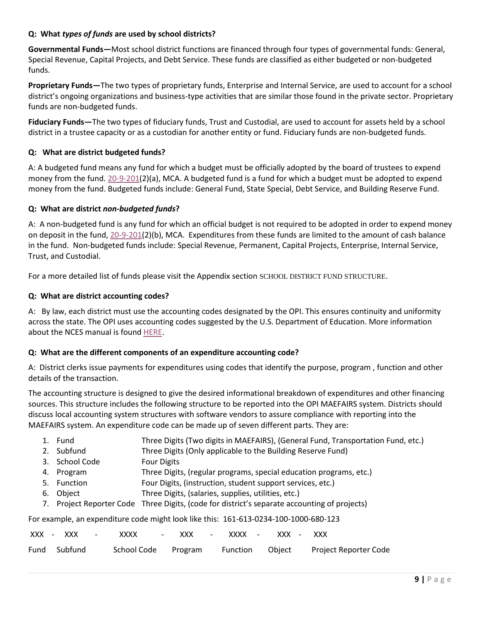## **Q: What** *types of funds* **are used by school districts?**

**Governmental Funds—**Most school district functions are financed through four types of governmental funds: General, Special Revenue, Capital Projects, and Debt Service. These funds are classified as either budgeted or non-budgeted funds.

**Proprietary Funds—**The two types of proprietary funds, Enterprise and Internal Service, are used to account for a school district's ongoing organizations and business-type activities that are similar those found in the private sector. Proprietary funds are non-budgeted funds.

**Fiduciary Funds—**The two types of fiduciary funds, Trust and Custodial, are used to account for assets held by a school district in a trustee capacity or as a custodian for another entity or fund. Fiduciary funds are non-budgeted funds.

#### **Q: What are district budgeted funds?**

A: A budgeted fund means any fund for which a budget must be officially adopted by the board of trustees to expend money from the fund. [20-9-201\(](http://leg.mt.gov/bills/mca/title_0200/chapter_0090/part_0020/section_0010/0200-0090-0020-0010.html)2)(a), MCA. A budgeted fund is a fund for which a budget must be adopted to expend money from the fund. Budgeted funds include: General Fund, State Special, Debt Service, and Building Reserve Fund.

#### **Q: What are district** *non-budgeted funds***?**

A: A non-budgeted fund is any fund for which an official budget is not required to be adopted in order to expend money on deposit in the fund, [20-9-201\(](http://leg.mt.gov/bills/mca/title_0200/chapter_0090/part_0020/section_0010/0200-0090-0020-0010.html)2)(b), MCA. Expenditures from these funds are limited to the amount of cash balance in the fund. Non-budgeted funds include: Special Revenue, Permanent, Capital Projects, Enterprise, Internal Service, Trust, and Custodial.

For a more detailed list of funds please visit the Appendix section [SCHOOL DISTRICT FUND](#page-23-0) STRUCTURE.

#### **Q: What are district accounting codes?**

A: By law, each district must use the accounting codes designated by the OPI. This ensures continuity and uniformity across the state. The OPI uses accounting codes suggested by the U.S. Department of Education. More information about the NCES manual is found [HERE.](https://nces.ed.gov/pubs2015/2015347.pdf)

#### **Q: What are the different components of an expenditure accounting code?**

A: District clerks issue payments for expenditures using codes that identify the purpose, program , function and other details of the transaction.

The accounting structure is designed to give the desired informational breakdown of expenditures and other financing sources. This structure includes the following structure to be reported into the OPI MAEFAIRS system. Districts should discuss local accounting system structures with software vendors to assure compliance with reporting into the MAEFAIRS system. An expenditure code can be made up of seven different parts. They are:

|                                                                                      |  | 1. Fund        | Three Digits (Two digits in MAEFAIRS), (General Fund, Transportation Fund, etc.)             |  |  |  |
|--------------------------------------------------------------------------------------|--|----------------|----------------------------------------------------------------------------------------------|--|--|--|
|                                                                                      |  | 2. Subfund     | Three Digits (Only applicable to the Building Reserve Fund)                                  |  |  |  |
|                                                                                      |  | 3. School Code | <b>Four Digits</b>                                                                           |  |  |  |
|                                                                                      |  | 4. Program     | Three Digits, (regular programs, special education programs, etc.)                           |  |  |  |
|                                                                                      |  | 5. Function    | Four Digits, (instruction, student support services, etc.)                                   |  |  |  |
|                                                                                      |  | 6. Object      | Three Digits, (salaries, supplies, utilities, etc.)                                          |  |  |  |
|                                                                                      |  |                | 7. Project Reporter Code Three Digits, (code for district's separate accounting of projects) |  |  |  |
| For example, an expenditure code might look like this: 161-613-0234-100-1000-680-123 |  |                |                                                                                              |  |  |  |

|  | XXX - XXX    | $\sim$ | XXXX | – XXX – <sup>–</sup> | XXXX - | XXX - | xxx                                                       |
|--|--------------|--------|------|----------------------|--------|-------|-----------------------------------------------------------|
|  | Fund Subfund |        |      |                      |        |       | School Code Program Function Object Project Reporter Code |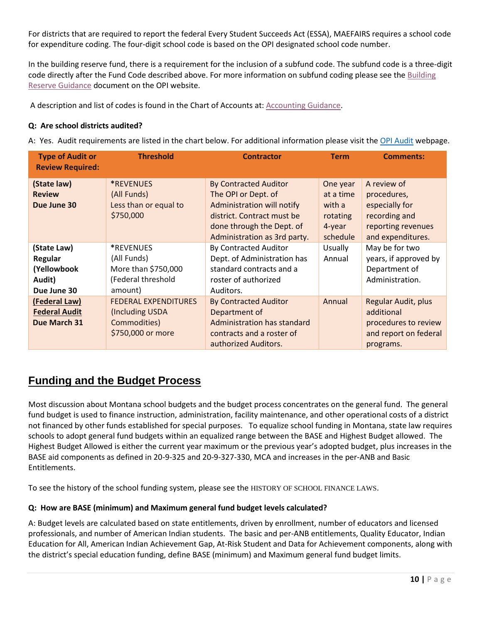For districts that are required to report the federal Every Student Succeeds Act (ESSA), MAEFAIRS requires a school code for expenditure coding. The four-digit school code is based on the OPI designated school code number.

In the building reserve fund, there is a requirement for the inclusion of a subfund code. The subfund code is a three-digit code directly after the Fund Code described above. For more information on subfund coding please see th[e Building](https://opi.mt.gov/Portals/182/Page%20Files/School%20Finance/Accounting/Guidance%20and%20Manuals/FY2022/Building%20Reserve%20Fund%20Guidance%20Document%20March%202018.pdf?ver=2021-09-23-111951-500)  [Reserve Guidance](https://opi.mt.gov/Portals/182/Page%20Files/School%20Finance/Accounting/Guidance%20and%20Manuals/FY2022/Building%20Reserve%20Fund%20Guidance%20Document%20March%202018.pdf?ver=2021-09-23-111951-500) document on the OPI website.

A description and list of codes is found in the Chart of Accounts at: [Accounting Guidance.](http://opi.mt.gov/Leadership/Finance-Grants/School-Finance/School-Finance-Accounting)

#### **Q: Are school districts audited?**

A: Yes. Audit requirements are listed in the chart below. For additional information please visit the [OPI Audit](http://opi.mt.gov/Leadership/Finance-Grants/School-Finance/School-Finance-Auditing) webpage.

| <b>Threshold</b><br><b>Type of Audit or</b><br><b>Review Required:</b> |                                                                                     | <b>Contractor</b>                                                                                                                                                            | <b>Term</b>                                                       | <b>Comments:</b>                                                                                         |
|------------------------------------------------------------------------|-------------------------------------------------------------------------------------|------------------------------------------------------------------------------------------------------------------------------------------------------------------------------|-------------------------------------------------------------------|----------------------------------------------------------------------------------------------------------|
| (State law)<br><b>Review</b><br>Due June 30                            | <i><b>*REVENUES</b></i><br>(All Funds)<br>Less than or equal to<br>\$750,000        | <b>By Contracted Auditor</b><br>The OPI or Dept. of<br>Administration will notify<br>district. Contract must be<br>done through the Dept. of<br>Administration as 3rd party. | One year<br>at a time<br>with a<br>rotating<br>4-year<br>schedule | A review of<br>procedures,<br>especially for<br>recording and<br>reporting revenues<br>and expenditures. |
| (State Law)<br>Regular<br>(Yellowbook<br>Audit)<br>Due June 30         | *REVENUES<br>(All Funds)<br>More than \$750,000<br>(Federal threshold<br>amount)    | <b>By Contracted Auditor</b><br>Dept. of Administration has<br>standard contracts and a<br>roster of authorized<br>Auditors.                                                 | <b>Usually</b><br>Annual                                          | May be for two<br>years, if approved by<br>Department of<br>Administration.                              |
| (Federal Law)<br><b>Federal Audit</b><br>Due March 31                  | <b>FEDERAL EXPENDITURES</b><br>(Including USDA<br>Commodities)<br>\$750,000 or more | <b>By Contracted Auditor</b><br>Department of<br>Administration has standard<br>contracts and a roster of<br>authorized Auditors.                                            | Annual                                                            | <b>Regular Audit, plus</b><br>additional<br>procedures to review<br>and report on federal<br>programs.   |

# <span id="page-9-0"></span>**Funding and the Budget Process**

Most discussion about Montana school budgets and the budget process concentrates on the general fund. The general fund budget is used to finance instruction, administration, facility maintenance, and other operational costs of a district not financed by other funds established for special purposes. To equalize school funding in Montana, state law requires schools to adopt general fund budgets within an equalized range between the BASE and Highest Budget allowed. The Highest Budget Allowed is either the current year maximum or the previous year's adopted budget, plus increases in the BASE aid components as defined in 20-9-325 and 20-9-327-330, MCA and increases in the per-ANB and Basic Entitlements.

To see the history of the school funding system, please see the [HISTORY OF SCHOOL FINANCE LAWS](#page-24-0).

# **Q: How are BASE (minimum) and Maximum general fund budget levels calculated?**

A: Budget levels are calculated based on state entitlements, driven by enrollment, number of educators and licensed professionals, and number of American Indian students. The basic and per-ANB entitlements, Quality Educator, Indian Education for All, American Indian Achievement Gap, At-Risk Student and Data for Achievement components, along with the district's special education funding, define BASE (minimum) and Maximum general fund budget limits.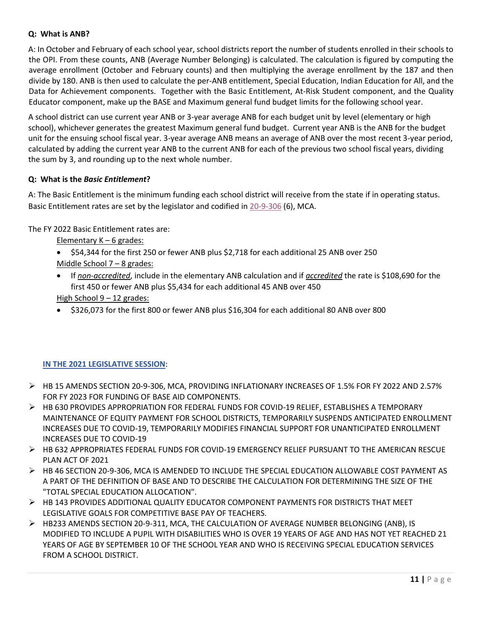#### **Q: What is ANB?**

A: In October and February of each school year, school districts report the number of students enrolled in their schools to the OPI. From these counts, ANB (Average Number Belonging) is calculated. The calculation is figured by computing the average enrollment (October and February counts) and then multiplying the average enrollment by the 187 and then divide by 180. ANB is then used to calculate the per-ANB entitlement, Special Education, Indian Education for All, and the Data for Achievement components. Together with the Basic Entitlement, At-Risk Student component, and the Quality Educator component, make up the BASE and Maximum general fund budget limits for the following school year.

A school district can use current year ANB or 3-year average ANB for each budget unit by level (elementary or high school), whichever generates the greatest Maximum general fund budget. Current year ANB is the ANB for the budget unit for the ensuing school fiscal year. 3-year average ANB means an average of ANB over the most recent 3-year period, calculated by adding the current year ANB to the current ANB for each of the previous two school fiscal years, dividing the sum by 3, and rounding up to the next whole number.

#### **Q: What is the** *Basic Entitlement***?**

A: The Basic Entitlement is the minimum funding each school district will receive from the state if in operating status. Basic Entitlement rates are set by the legislator and codified in [20-9-306](http://leg.mt.gov/bills/mca/title_0200/chapter_0090/part_0030/section_0060/0200-0090-0030-0060.html) (6), MCA.

The FY 2022 Basic Entitlement rates are:

- Elementary K 6 grades:
- \$54,344 for the first 250 or fewer ANB plus \$2,718 for each additional 25 ANB over 250 Middle School 7 – 8 grades:
- If *non*-*accredited*, include in the elementary ANB calculation and if *accredited* the rate is \$108,690 for the first 450 or fewer ANB plus \$5,434 for each additional 45 ANB over 450
- High School 9 12 grades:
- \$326,073 for the first 800 or fewer ANB plus \$16,304 for each additional 80 ANB over 800

# **IN THE 2021 [LEGISLATIVE SESSION](#page-28-0)**:

- ➢ [HB 15 AMENDS SECTION 20-9-306, MCA, PROVIDING INFLATIONARY INCREASES OF 1.5% FOR FY 2022 AND 2.57%](#page-28-0)  [FOR FY 2023 FOR FUNDING OF BASE AID COMPONENTS.](#page-28-0)
- ➢ [HB 630 PROVIDES APPROPRIATION FOR FEDERAL FUNDS FOR COVID-19 RELIEF, ESTABLISHES A TEMPORARY](#page-28-0)  [MAINTENANCE OF EQUITY PAYMENT FOR SCHOOL DISTRICTS, TEMPORARILY SUSPENDS ANTICIPATED ENROLLMENT](#page-28-0)  [INCREASES DUE TO COVID-19, TEMPORARILY MODIFIES FINANCIAL SUPPORT FOR UNANTICIPATED ENROLLMENT](#page-28-0)  [INCREASES DUE TO COVID-19](#page-28-0)
- ➢ [HB 632 APPROPRIATES FEDERAL FUNDS FOR COVID-19 EMERGENCY RELIEF PURSUANT TO THE AMERICAN RESCUE](#page-28-0)  [PLAN ACT OF 2021](#page-28-0)
- ➢ [HB 46 SECTION 20-9-306, MCA IS AMENDED TO INCLUDE THE SPECIAL EDUCATION ALLOWABLE COST PAYMENT AS](#page-28-0)  [A PART OF THE DEFINITION OF BASE AND TO DESCRIBE THE CALCULATION FOR DETERMINING THE SIZE OF THE](#page-28-0)  ["TOTAL SPECIAL EDUCATION ALLOCATION".](#page-28-0)
- ➢ [HB 143 PROVIDES ADDITIONAL QUALITY EDUCATOR COMPONENT PAYMENTS FOR DISTRICTS THAT MEET](#page-28-0)  [LEGISLATIVE GOALS FOR COMPETITIVE BASE PAY OF TEACHERS.](#page-28-0)
- ➢ [HB233 AMENDS SECTION 20-9-311, MCA, THE CALCULATION OF AVERAGE NUMBER BELONGING \(ANB\), IS](#page-28-0)  [MODIFIED TO INCLUDE A PUPIL WITH DISABILITIES WHO IS OVER 19 YEARS OF AGE AND HAS NOT YET REACHED 21](#page-28-0)  [YEARS OF AGE BY SEPTEMBER 10 OF THE SCHOOL YEAR AND WHO IS RECEIVING SPECIAL EDUCATION SERVICES](#page-28-0)  [FROM A SCHOOL DISTRICT.](#page-28-0)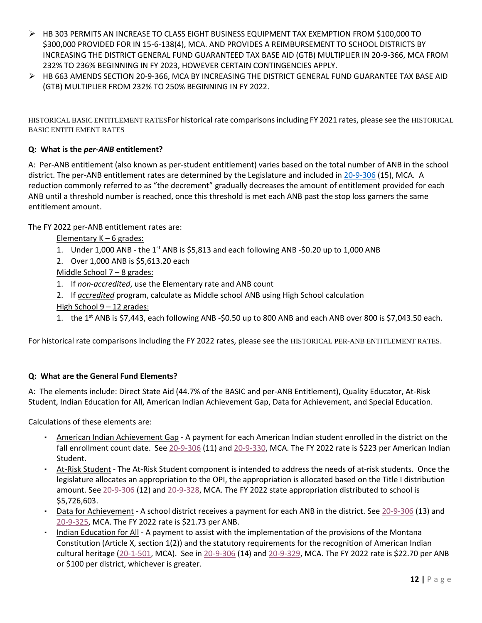- ➢ HB 303 PERMITS AN INCREASE TO [CLASS EIGHT BUSINESS EQUIPMENT TAX EXEMPTION FROM \\$100,000 TO](#page-28-0)  [\\$300,000 PROVIDED FOR IN 15-6-138\(4\), MCA. AND PROVIDES A REIMBURSEMENT TO SCHOOL DISTRICTS BY](#page-28-0)  [INCREASING THE DISTRICT GENERAL FUND GUARANTEED TAX BASE AID \(GTB\) MULTIPLIER IN 20-9-366, MCA FROM](#page-28-0)  [232% TO 236% BEGINNING IN FY 2023, HOWEVER CERTAIN CONTINGENCIES APPLY.](#page-28-0)
- ➢ [HB 663 AMENDS SECTION 20-9-366, MCA BY INCREASING THE DISTRICT GENERAL FUND GUARANTEE TAX BASE AID](#page-28-0)  [\(GTB\) MULTIPLIER FROM 232% TO 250% BEGINNING IN FY 2022.](#page-28-0)

[HISTORICAL BASIC ENTITLEMENT RATES](#page-28-0)For historical rate comparisons including FY 2021 rates, please see the HISTORICAL BASIC ENTITLEMENT RATES

### **Q: What is the** *per-ANB* **entitlement?**

A: Per-ANB entitlement (also known as per-student entitlement) varies based on the total number of ANB in the school district. The per-ANB entitlement rates are determined by the Legislature and included in [20-9-306](http://leg.mt.gov/bills/mca/title_0200/chapter_0090/part_0030/section_0060/0200-0090-0030-0060.html) (15), MCA. A reduction commonly referred to as "the decrement" gradually decreases the amount of entitlement provided for each ANB until a threshold number is reached, once this threshold is met each ANB past the stop loss garners the same entitlement amount.

The FY 2022 per-ANB entitlement rates are:

Elementary K – 6 grades:

- 1. Under 1,000 ANB the 1<sup>st</sup> ANB is \$5,813 and each following ANB -\$0.20 up to 1,000 ANB
- 2. Over 1,000 ANB is \$5,613.20 each

Middle School 7 – 8 grades:

- 1. If *non-accredited*, use the Elementary rate and ANB count
- 2. If *accredited* program, calculate as Middle school ANB using High School calculation High School 9 – 12 grades:
- 1. the 1<sup>st</sup> ANB is \$7,443, each following ANB -\$0.50 up to 800 ANB and each ANB over 800 is \$7,043.50 each.

For historical rate comparisons including the FY 2022 rates, please see the [HISTORICAL PER-ANB ENTITLEMENT RATES](#page-30-0).

#### **Q: What are the General Fund Elements?**

A: The elements include: Direct State Aid (44.7% of the BASIC and per-ANB Entitlement), Quality Educator, At-Risk Student, Indian Education for All, American Indian Achievement Gap, Data for Achievement, and Special Education.

Calculations of these elements are:

- American Indian Achievement Gap A payment for each American Indian student enrolled in the district on the fall enrollment count date. See [20-9-306](http://leg.mt.gov/bills/mca/title_0200/chapter_0090/part_0030/section_0060/0200-0090-0030-0060.html) (11) and [20-9-330,](http://leg.mt.gov/bills/mca/title_0200/chapter_0090/part_0030/section_0300/0200-0090-0030-0300.html) MCA. The FY 2022 rate is \$223 per American Indian Student.
- At-Risk Student The At-Risk Student component is intended to address the needs of at-risk students. Once the legislature allocates an appropriation to the OPI, the appropriation is allocated based on the Title I distribution amount. See [20-9-306](http://leg.mt.gov/bills/mca/title_0200/chapter_0090/part_0030/section_0060/0200-0090-0030-0060.html) (12) and [20-9-328,](http://leg.mt.gov/bills/mca/title_0200/chapter_0090/part_0030/section_0280/0200-0090-0030-0280.html) MCA. The FY 2022 state appropriation distributed to school is \$5,726,603.
- Data for Achievement A school district receives a payment for each ANB in the district. See [20-9-306](http://leg.mt.gov/bills/mca/title_0200/chapter_0090/part_0030/section_0060/0200-0090-0030-0060.html) (13) and [20-9-325,](http://leg.mt.gov/bills/mca/title_0200/chapter_0090/part_0030/section_0250/0200-0090-0030-0250.html) MCA. The FY 2022 rate is \$21.73 per ANB.
- Indian Education for All A payment to assist with the implementation of the provisions of the Montana Constitution (Article X, section 1(2)) and the statutory requirements for the recognition of American Indian cultural heritage [\(20-1-501,](http://leg.mt.gov/bills/mca/title_0200/chapter_0010/part_0050/section_0010/0200-0010-0050-0010.html) MCA). See in [20-9-306](http://leg.mt.gov/bills/mca/title_0200/chapter_0090/part_0030/section_0060/0200-0090-0030-0060.html) (14) and [20-9-329,](http://leg.mt.gov/bills/mca/title_0200/chapter_0090/part_0030/section_0290/0200-0090-0030-0290.html) MCA. The FY 2022 rate is \$22.70 per ANB or \$100 per district, whichever is greater.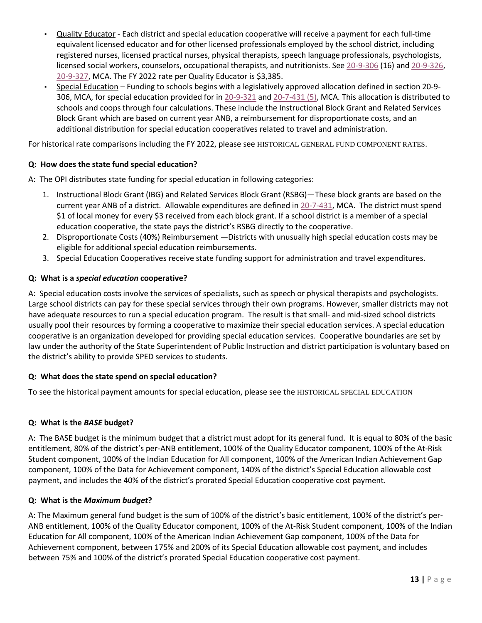- Quality Educator Each district and special education cooperative will receive a payment for each full-time equivalent licensed educator and for other licensed professionals employed by the school district, including registered nurses, licensed practical nurses, physical therapists, speech language professionals, psychologists, licensed social workers, counselors, occupational therapists, and nutritionists. See [20-9-306](http://leg.mt.gov/bills/mca/title_0200/chapter_0090/part_0030/section_0060/0200-0090-0030-0060.html) (16) and [20-9-326,](http://leg.mt.gov/bills/mca/title_0200/chapter_0090/part_0030/section_0260/0200-0090-0030-0260.html) [20-9-327,](http://leg.mt.gov/bills/mca/title_0200/chapter_0090/part_0030/section_0270/0200-0090-0030-0270.html) MCA. The FY 2022 rate per Quality Educator is \$3,385.
- Special Education Funding to schools begins with a legislatively approved allocation defined in section 20-9- 306, MCA, for special education provided for in [20-9-321](http://leg.mt.gov/bills/mca/title_0200/chapter_0090/part_0030/section_0210/0200-0090-0030-0210.html) and [20-7-431 \(5\),](http://leg.mt.gov/bills/mca/title_0200/chapter_0070/part_0040/section_0310/0200-0070-0040-0310.html) MCA. This allocation is distributed to schools and coops through four calculations. These include the Instructional Block Grant and Related Services Block Grant which are based on current year ANB, a reimbursement for disproportionate costs, and an additional distribution for special education cooperatives related to travel and administration.

For historical rate comparisons including the FY 2022, please see HISTORICAL GENERAL FUND COMPONENT RATES.

# **Q: How does the state fund special education?**

A: The OPI distributes state funding for special education in following categories:

- 1. Instructional Block Grant (IBG) and Related Services Block Grant (RSBG)—These block grants are based on the current year ANB of a district. Allowable expenditures are defined in [20-7-431,](http://leg.mt.gov/bills/mca/title_0200/chapter_0070/part_0040/section_0310/0200-0070-0040-0310.html) MCA. The district must spend \$1 of local money for every \$3 received from each block grant. If a school district is a member of a special education cooperative, the state pays the district's RSBG directly to the cooperative.
- 2. Disproportionate Costs (40%) Reimbursement —Districts with unusually high special education costs may be eligible for additional special education reimbursements.
- 3. Special Education Cooperatives receive state funding support for administration and travel expenditures.

#### **Q: What is a** *special education* **cooperative?**

A: Special education costs involve the services of specialists, such as speech or physical therapists and psychologists. Large school districts can pay for these special services through their own programs. However, smaller districts may not have adequate resources to run a special education program. The result is that small- and mid-sized school districts usually pool their resources by forming a cooperative to maximize their special education services. A special education cooperative is an organization developed for providing special education services. Cooperative boundaries are set by law under the authority of the State Superintendent of Public Instruction and district participation is voluntary based on the district's ability to provide SPED services to students.

#### **Q: What does the state spend on special education?**

To see the historical payment amounts for special education, please see the [HISTORICAL SPECIAL EDUCATION](#page-30-2) 

#### **Q: What is the** *BASE* **budget?**

A: The BASE budget is the minimum budget that a district must adopt for its general fund. It is equal to 80% of the basic entitlement, 80% of the district's per-ANB entitlement, 100% of the Quality Educator component, 100% of the At-Risk Student component, 100% of the Indian Education for All component, 100% of the American Indian Achievement Gap component, 100% of the Data for Achievement component, 140% of the district's Special Education allowable cost payment, and includes the 40% of the district's prorated Special Education cooperative cost payment.

#### **Q: What is the** *Maximum budget***?**

A: The Maximum general fund budget is the sum of 100% of the district's basic entitlement, 100% of the district's per-ANB entitlement, 100% of the Quality Educator component, 100% of the At-Risk Student component, 100% of the Indian Education for All component, 100% of the American Indian Achievement Gap component, 100% of the Data for Achievement component, between 175% and 200% of its Special Education allowable cost payment, and includes between 75% and 100% of the district's prorated Special Education cooperative cost payment.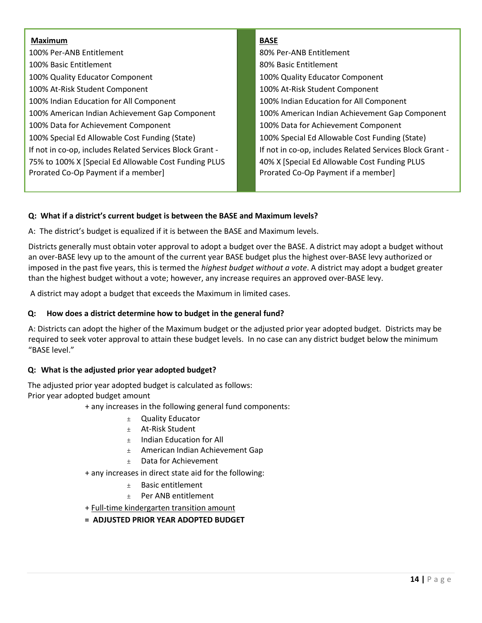#### **Maximum**

100% Per-ANB Entitlement 100% Basic Entitlement 100% Quality Educator Component 100% At-Risk Student Component 100% Indian Education for All Component 100% American Indian Achievement Gap Component 100% Data for Achievement Component 100% Special Ed Allowable Cost Funding (State) If not in co-op, includes Related Services Block Grant - 75% to 100% X [Special Ed Allowable Cost Funding PLUS Prorated Co-Op Payment if a member]

#### **BASE**

80% Per-ANB Entitlement 80% Basic Entitlement 100% Quality Educator Component 100% At-Risk Student Component 100% Indian Education for All Component 100% American Indian Achievement Gap Component 100% Data for Achievement Component 100% Special Ed Allowable Cost Funding (State) If not in co-op, includes Related Services Block Grant - 40% X [Special Ed Allowable Cost Funding PLUS Prorated Co-Op Payment if a member]

# **Q: What if a district's current budget is between the BASE and Maximum levels?**

A: The district's budget is equalized if it is between the BASE and Maximum levels.

Districts generally must obtain voter approval to adopt a budget over the BASE. A district may adopt a budget without an over-BASE levy up to the amount of the current year BASE budget plus the highest over-BASE levy authorized or imposed in the past five years, this is termed the *highest budget without a vote*. A district may adopt a budget greater than the highest budget without a vote; however, any increase requires an approved over-BASE levy.

A district may adopt a budget that exceeds the Maximum in limited cases.

### **Q: How does a district determine how to budget in the general fund?**

A: Districts can adopt the higher of the Maximum budget or the adjusted prior year adopted budget. Districts may be required to seek voter approval to attain these budget levels. In no case can any district budget below the minimum "BASE level."

# **Q: What is the adjusted prior year adopted budget?**

The adjusted prior year adopted budget is calculated as follows: Prior year adopted budget amount

+ any increases in the following general fund components:

- ± Quality Educator
- ± At-Risk Student
- $±$  Indian Education for All
- ± American Indian Achievement Gap
- ± Data for Achievement
- + any increases in direct state aid for the following:
	- ± Basic entitlement
	- ± Per ANB entitlement
- + Full-time kindergarten transition amount
- **= ADJUSTED PRIOR YEAR ADOPTED BUDGET**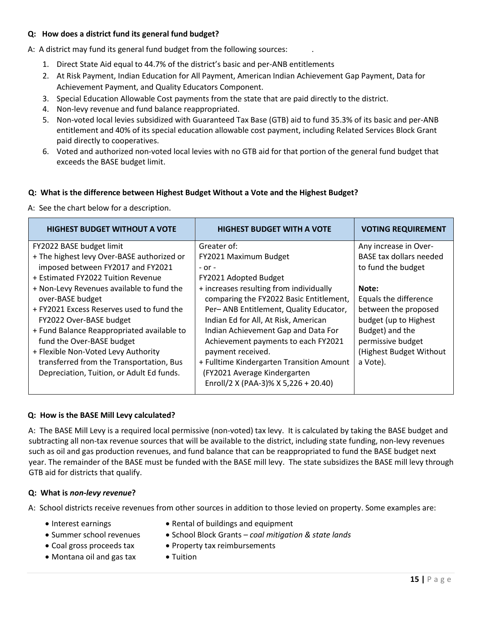#### **Q: How does a district fund its general fund budget?**

A: A district may fund its general fund budget from the following sources: .

- 1. Direct State Aid equal to 44.7% of the district's basic and per-ANB entitlements
- 2. At Risk Payment, Indian Education for All Payment, American Indian Achievement Gap Payment, Data for Achievement Payment, and Quality Educators Component.
- 3. Special Education Allowable Cost payments from the state that are paid directly to the district.
- 4. Non-levy revenue and fund balance reappropriated.
- 5. Non-voted local levies subsidized with Guaranteed Tax Base (GTB) aid to fund 35.3% of its basic and per-ANB entitlement and 40% of its special education allowable cost payment, including Related Services Block Grant paid directly to cooperatives.
- 6. Voted and authorized non-voted local levies with no GTB aid for that portion of the general fund budget that exceeds the BASE budget limit.

#### **Q: What is the difference between Highest Budget Without a Vote and the Highest Budget?**

A: See the chart below for a description.

| <b>HIGHEST BUDGET WITHOUT A VOTE</b>                                                                                                                                                                                                                                                                                                                                                                         | <b>HIGHEST BUDGET WITH A VOTE</b>                                                                                                                                                                                                                                                                                                                      | <b>VOTING REQUIREMENT</b>                                                                                                                                                                                                           |
|--------------------------------------------------------------------------------------------------------------------------------------------------------------------------------------------------------------------------------------------------------------------------------------------------------------------------------------------------------------------------------------------------------------|--------------------------------------------------------------------------------------------------------------------------------------------------------------------------------------------------------------------------------------------------------------------------------------------------------------------------------------------------------|-------------------------------------------------------------------------------------------------------------------------------------------------------------------------------------------------------------------------------------|
| FY2022 BASE budget limit<br>+ The highest levy Over-BASE authorized or<br>imposed between FY2017 and FY2021<br>+ Estimated FY2022 Tuition Revenue<br>+ Non-Levy Revenues available to fund the<br>over-BASE budget<br>+ FY2021 Excess Reserves used to fund the<br>FY2022 Over-BASE budget<br>+ Fund Balance Reappropriated available to<br>fund the Over-BASE budget<br>+ Flexible Non-Voted Levy Authority | Greater of:<br>FY2021 Maximum Budget<br>$-$ or $-$<br>FY2021 Adopted Budget<br>+ increases resulting from individually<br>comparing the FY2022 Basic Entitlement,<br>Per-ANB Entitlement, Quality Educator,<br>Indian Ed for All, At Risk, American<br>Indian Achievement Gap and Data For<br>Achievement payments to each FY2021<br>payment received. | Any increase in Over-<br><b>BASE tax dollars needed</b><br>to fund the budget<br>Note:<br>Equals the difference<br>between the proposed<br>budget (up to Highest<br>Budget) and the<br>permissive budget<br>(Highest Budget Without |
| transferred from the Transportation, Bus<br>Depreciation, Tuition, or Adult Ed funds.                                                                                                                                                                                                                                                                                                                        | + Fulltime Kindergarten Transition Amount<br>(FY2021 Average Kindergarten<br>Enroll/2 X (PAA-3)% X 5,226 + 20.40)                                                                                                                                                                                                                                      | a Vote).                                                                                                                                                                                                                            |

#### **Q: How is the BASE Mill Levy calculated?**

A: The BASE Mill Levy is a required local permissive (non-voted) tax levy. It is calculated by taking the BASE budget and subtracting all non-tax revenue sources that will be available to the district, including state funding, non-levy revenues such as oil and gas production revenues, and fund balance that can be reappropriated to fund the BASE budget next year. The remainder of the BASE must be funded with the BASE mill levy. The state subsidizes the BASE mill levy through GTB aid for districts that qualify.

#### **Q: What is** *non-levy revenue***?**

- A: School districts receive revenues from other sources in addition to those levied on property. Some examples are:
	-
	- Interest earnings Rental of buildings and equipment
	- -
	- Montana oil and gas tax Tuition
- - Summer school revenues School Block Grants *– coal mitigation & state lands*
	- Coal gross proceeds tax Property tax reimbursements
		-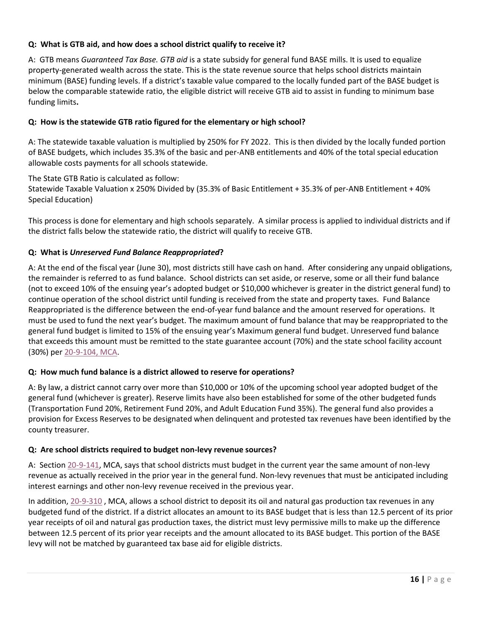# **Q: What is GTB aid, and how does a school district qualify to receive it?**

A: GTB means *Guaranteed Tax Base. GTB aid* is a state subsidy for general fund BASE mills. It is used to equalize property-generated wealth across the state. This is the state revenue source that helps school districts maintain minimum (BASE) funding levels. If a district's taxable value compared to the locally funded part of the BASE budget is below the comparable statewide ratio, the eligible district will receive GTB aid to assist in funding to minimum base funding limits**.**

# **Q: How is the statewide GTB ratio figured for the elementary or high school?**

A: The statewide taxable valuation is multiplied by 250% for FY 2022. This is then divided by the locally funded portion of BASE budgets, which includes 35.3% of the basic and per-ANB entitlements and 40% of the total special education allowable costs payments for all schools statewide.

The State GTB Ratio is calculated as follow: Statewide Taxable Valuation x 250% Divided by (35.3% of Basic Entitlement + 35.3% of per-ANB Entitlement + 40% Special Education)

This process is done for elementary and high schools separately. A similar process is applied to individual districts and if the district falls below the statewide ratio, the district will qualify to receive GTB.

# **Q: What is** *Unreserved Fund Balance Reappropriated***?**

A: At the end of the fiscal year (June 30), most districts still have cash on hand. After considering any unpaid obligations, the remainder is referred to as fund balance. School districts can set aside, or reserve, some or all their fund balance (not to exceed 10% of the ensuing year's adopted budget or \$10,000 whichever is greater in the district general fund) to continue operation of the school district until funding is received from the state and property taxes. Fund Balance Reappropriated is the difference between the end-of-year fund balance and the amount reserved for operations. It must be used to fund the next year's budget. The maximum amount of fund balance that may be reappropriated to the general fund budget is limited to 15% of the ensuing year's Maximum general fund budget. Unreserved fund balance that exceeds this amount must be remitted to the state guarantee account (70%) and the state school facility account (30%) pe[r 20-9-104, MCA.](http://leg.mt.gov/bills/mca/title_0200/chapter_0090/part_0010/section_0040/0200-0090-0010-0040.html)

# **Q: How much fund balance is a district allowed to reserve for operations?**

A: By law, a district cannot carry over more than \$10,000 or 10% of the upcoming school year adopted budget of the general fund (whichever is greater). Reserve limits have also been established for some of the other budgeted funds (Transportation Fund 20%, Retirement Fund 20%, and Adult Education Fund 35%). The general fund also provides a provision for Excess Reserves to be designated when delinquent and protested tax revenues have been identified by the county treasurer.

# **Q: Are school districts required to budget non-levy revenue sources?**

A: Sectio[n 20-9-141,](http://leg.mt.gov/bills/mca/title_0200/chapter_0090/part_0010/section_0410/0200-0090-0010-0410.html) MCA, says that school districts must budget in the current year the same amount of non-levy revenue as actually received in the prior year in the general fund. Non-levy revenues that must be anticipated including interest earnings and other non-levy revenue received in the previous year.

In addition, 20-9-[310](http://leg.mt.gov/bills/mca/title_0200/chapter_0090/part_0030/section_0100/0200-0090-0030-0100.html), MCA, allows a school district to deposit its oil and natural gas production tax revenues in any budgeted fund of the district. If a district allocates an amount to its BASE budget that is less than 12.5 percent of its prior year receipts of oil and natural gas production taxes, the district must levy permissive mills to make up the difference between 12.5 percent of its prior year receipts and the amount allocated to its BASE budget. This portion of the BASE levy will not be matched by guaranteed tax base aid for eligible districts.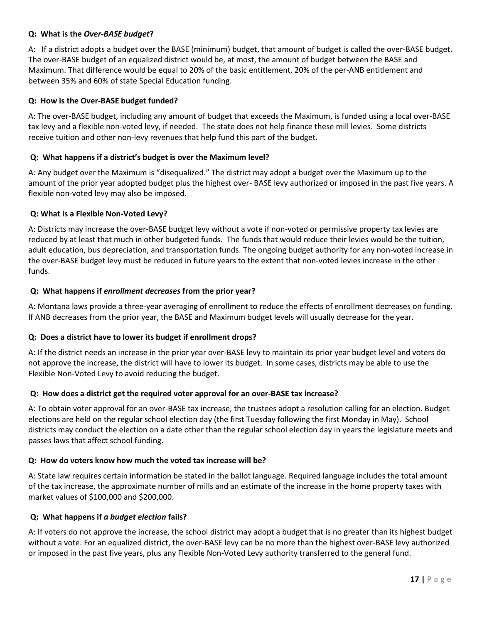#### **Q: What is the** *Over-BASE budget***?**

A: If a district adopts a budget over the BASE (minimum) budget, that amount of budget is called the over-BASE budget. The over-BASE budget of an equalized district would be, at most, the amount of budget between the BASE and Maximum. That difference would be equal to 20% of the basic entitlement, 20% of the per-ANB entitlement and between 35% and 60% of state Special Education funding.

#### **Q: How is the Over-BASE budget funded?**

A: The over-BASE budget, including any amount of budget that exceeds the Maximum, is funded using a local over-BASE tax levy and a flexible non-voted levy, if needed. The state does not help finance these mill levies. Some districts receive tuition and other non-levy revenues that help fund this part of the budget.

#### **Q: What happens if a district's budget is over the Maximum level?**

A: Any budget over the Maximum is "disequalized." The district may adopt a budget over the Maximum up to the amount of the prior year adopted budget plus the highest over- BASE levy authorized or imposed in the past five years. A flexible non-voted levy may also be imposed.

#### **Q: What is a Flexible Non-Voted Levy?**

A: Districts may increase the over-BASE budget levy without a vote if non-voted or permissive property tax levies are reduced by at least that much in other budgeted funds. The funds that would reduce their levies would be the tuition, adult education, bus depreciation, and transportation funds. The ongoing budget authority for any non-voted increase in the over-BASE budget levy must be reduced in future years to the extent that non-voted levies increase in the other funds.

#### **Q: What happens if** *enrollment decreases* **from the prior year?**

A: Montana laws provide a three-year averaging of enrollment to reduce the effects of enrollment decreases on funding. If ANB decreases from the prior year, the BASE and Maximum budget levels will usually decrease for the year.

#### **Q: Does a district have to lower its budget if enrollment drops?**

A: If the district needs an increase in the prior year over-BASE levy to maintain its prior year budget level and voters do not approve the increase, the district will have to lower its budget. In some cases, districts may be able to use the Flexible Non-Voted Levy to avoid reducing the budget.

#### **Q: How does a district get the required voter approval for an over-BASE tax increase?**

A: To obtain voter approval for an over-BASE tax increase, the trustees adopt a resolution calling for an election. Budget elections are held on the regular school election day (the first Tuesday following the first Monday in May). School districts may conduct the election on a date other than the regular school election day in years the legislature meets and passes laws that affect school funding.

#### **Q: How do voters know how much the voted tax increase will be?**

A: State law requires certain information be stated in the ballot language. Required language includes the total amount of the tax increase, the approximate number of mills and an estimate of the increase in the home property taxes with market values of \$100,000 and \$200,000.

#### **Q: What happens if** *a budget election* **fails?**

A: If voters do not approve the increase, the school district may adopt a budget that is no greater than its highest budget without a vote. For an equalized district, the over-BASE levy can be no more than the highest over-BASE levy authorized or imposed in the past five years, plus any Flexible Non-Voted Levy authority transferred to the general fund.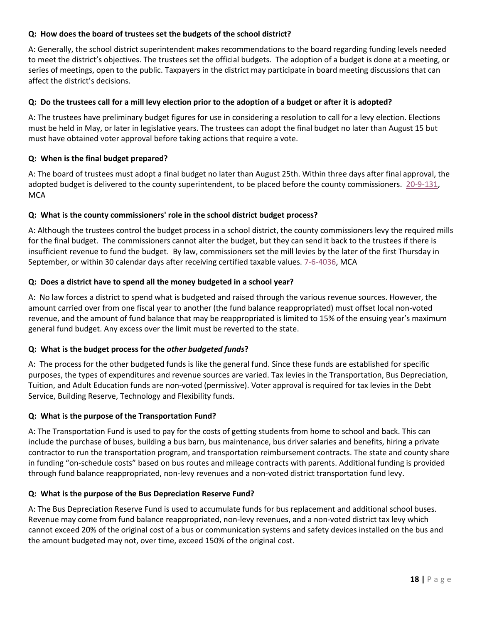#### **Q: How does the board of trustees set the budgets of the school district?**

A: Generally, the school district superintendent makes recommendations to the board regarding funding levels needed to meet the district's objectives. The trustees set the official budgets. The adoption of a budget is done at a meeting, or series of meetings, open to the public. Taxpayers in the district may participate in board meeting discussions that can affect the district's decisions.

#### **Q: Do the trustees call for a mill levy election prior to the adoption of a budget or after it is adopted?**

A: The trustees have preliminary budget figures for use in considering a resolution to call for a levy election. Elections must be held in May, or later in legislative years. The trustees can adopt the final budget no later than August 15 but must have obtained voter approval before taking actions that require a vote.

#### **Q: When is the final budget prepared?**

A: The board of trustees must adopt a final budget no later than August 25th. Within three days after final approval, the adopted budget is delivered to the county superintendent, to be placed before the county commissioners. [20-9-131,](http://leg.mt.gov/bills/mca/title_0200/chapter_0090/part_0010/section_0310/0200-0090-0010-0310.html) **MCA** 

#### **Q: What is the county commissioners' role in the school district budget process?**

A: Although the trustees control the budget process in a school district, the county commissioners levy the required mills for the final budget. The commissioners cannot alter the budget, but they can send it back to the trustees if there is insufficient revenue to fund the budget. By law, commissioners set the mill levies by the later of the first Thursday in September, or within 30 calendar days after receiving certified taxable values. [7-6-4036,](http://leg.mt.gov/bills/mca/title_0070/chapter_0060/part_0400/section_0360/0070-0060-0400-0360.html) MCA

#### **Q: Does a district have to spend all the money budgeted in a school year?**

A: No law forces a district to spend what is budgeted and raised through the various revenue sources. However, the amount carried over from one fiscal year to another (the fund balance reappropriated) must offset local non-voted revenue, and the amount of fund balance that may be reappropriated is limited to 15% of the ensuing year's maximum general fund budget. Any excess over the limit must be reverted to the state.

# **Q: What is the budget process for the** *other budgeted funds***?**

A: The process for the other budgeted funds is like the general fund. Since these funds are established for specific purposes, the types of expenditures and revenue sources are varied. Tax levies in the Transportation, Bus Depreciation, Tuition, and Adult Education funds are non-voted (permissive). Voter approval is required for tax levies in the Debt Service, Building Reserve, Technology and Flexibility funds.

#### **Q: What is the purpose of the Transportation Fund?**

A: The Transportation Fund is used to pay for the costs of getting students from home to school and back. This can include the purchase of buses, building a bus barn, bus maintenance, bus driver salaries and benefits, hiring a private contractor to run the transportation program, and transportation reimbursement contracts. The state and county share in funding "on-schedule costs" based on bus routes and mileage contracts with parents. Additional funding is provided through fund balance reappropriated, non-levy revenues and a non-voted district transportation fund levy.

#### **Q: What is the purpose of the Bus Depreciation Reserve Fund?**

A: The Bus Depreciation Reserve Fund is used to accumulate funds for bus replacement and additional school buses. Revenue may come from fund balance reappropriated, non-levy revenues, and a non-voted district tax levy which cannot exceed 20% of the original cost of a bus or communication systems and safety devices installed on the bus and the amount budgeted may not, over time, exceed 150% of the original cost.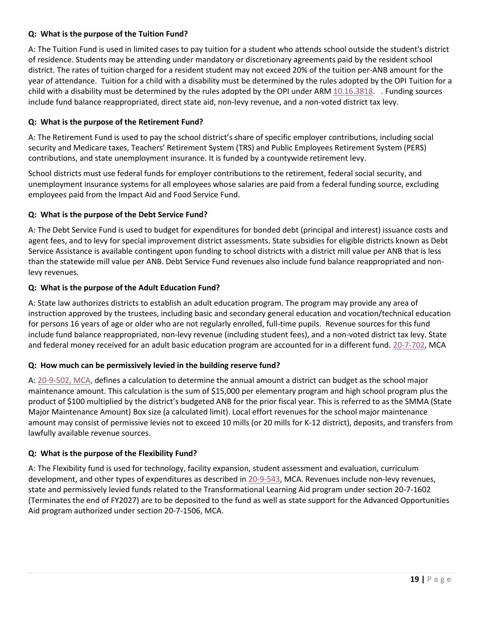# **Q: What is the purpose of the Tuition Fund?**

A: The Tuition Fund is used in limited cases to pay tuition for a student who attends school outside the student's district of residence. Students may be attending under mandatory or discretionary agreements paid by the resident school district. The rates of tuition charged for a resident student may not exceed 20% of the tuition per-ANB amount for the year of attendance. Tuition for a child with a disability must be determined by the rules adopted by the OPI Tuition for a child with a disability must be determined by the rules adopted by the OPI under AR[M 10.16.3818.](http://www.mtrules.org/gateway/ruleno.asp?RN=10%2E16%2E3818) . Funding sources include fund balance reappropriated, direct state aid, non-levy revenue, and a non-voted district tax levy.

#### **Q: What is the purpose of the Retirement Fund?**

A: The Retirement Fund is used to pay the school district's share of specific employer contributions, including social security and Medicare taxes, Teachers' Retirement System (TRS) and Public Employees Retirement System (PERS) contributions, and state unemployment insurance. It is funded by a countywide retirement levy.

School districts must use federal funds for employer contributions to the retirement, federal social security, and unemployment insurance systems for all employees whose salaries are paid from a federal funding source, excluding employees paid from the Impact Aid and Food Service Fund.

#### **Q: What is the purpose of the Debt Service Fund?**

A: The Debt Service Fund is used to budget for expenditures for bonded debt (principal and interest) issuance costs and agent fees, and to levy for special improvement district assessments. State subsidies for eligible districts known as Debt Service Assistance is available contingent upon funding to school districts with a district mill value per ANB that is less than the statewide mill value per ANB. Debt Service Fund revenues also include fund balance reappropriated and nonlevy revenues.

#### **Q: What is the purpose of the Adult Education Fund?**

A: State law authorizes districts to establish an adult education program. The program may provide any area of instruction approved by the trustees, including basic and secondary general education and vocation/technical education for persons 16 years of age or older who are not regularly enrolled, full-time pupils. Revenue sources for this fund include fund balance reappropriated, non-levy revenue (including student fees), and a non-voted district tax levy. State and federal money received for an adult basic education program are accounted for in a different fund. [20-7-702,](http://leg.mt.gov/bills/mca/title_0200/chapter_0070/part_0070/section_0020/0200-0070-0070-0020.html) MCA

#### **Q: How much can be permissively levied in the building reserve fund?**

A: [20-9-502, MCA,](http://leg.mt.gov/bills/mca/title_0200/chapter_0090/part_0050/section_0020/0200-0090-0050-0020.html) defines a calculation to determine the annual amount a district can budget as the school major maintenance amount. This calculation is the sum of \$15,000 per elementary program and high school program plus the product of \$100 multiplied by the district's budgeted ANB for the prior fiscal year. This is referred to as the SMMA (State Major Maintenance Amount) Box size (a calculated limit). Local effort revenues for the school major maintenance amount may consist of permissive levies not to exceed 10 mills (or 20 mills for K-12 district), deposits, and transfers from lawfully available revenue sources.

#### **Q: What is the purpose of the Flexibility Fund?**

A: The Flexibility fund is used for technology, facility expansion, student assessment and evaluation, curriculum development, and other types of expenditures as described i[n 20-9-543,](http://leg.mt.gov/bills/mca/title_0200/chapter_0090/part_0050/section_0430/0200-0090-0050-0430.html) MCA. Revenues include non-levy revenues, state and permissively levied funds related to the Transformational Learning Aid program under section 20-7-1602 (Terminates the end of FY2027) are to be deposited to the fund as well as state support for the Advanced Opportunities Aid program authorized under section 20-7-1506, MCA.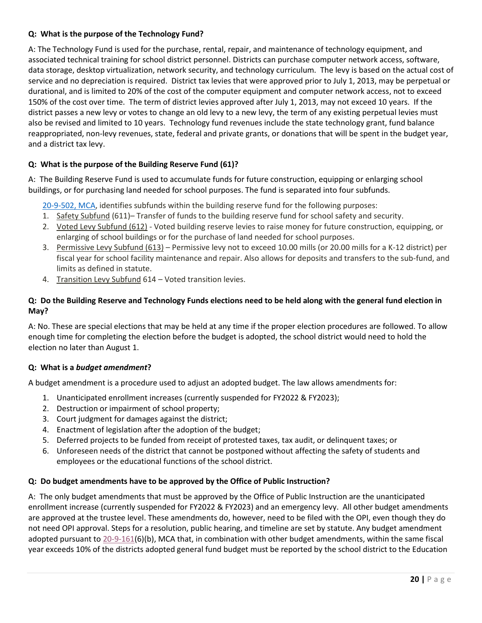#### **Q: What is the purpose of the Technology Fund?**

A: The Technology Fund is used for the purchase, rental, repair, and maintenance of technology equipment, and associated technical training for school district personnel. Districts can purchase computer network access, software, data storage, desktop virtualization, network security, and technology curriculum. The levy is based on the actual cost of service and no depreciation is required. District tax levies that were approved prior to July 1, 2013, may be perpetual or durational, and is limited to 20% of the cost of the computer equipment and computer network access, not to exceed 150% of the cost over time. The term of district levies approved after July 1, 2013, may not exceed 10 years. If the district passes a new levy or votes to change an old levy to a new levy, the term of any existing perpetual levies must also be revised and limited to 10 years. Technology fund revenues include the state technology grant, fund balance reappropriated, non-levy revenues, state, federal and private grants, or donations that will be spent in the budget year, and a district tax levy.

# **Q: What is the purpose of the Building Reserve Fund (61)?**

A: The Building Reserve Fund is used to accumulate funds for future construction, equipping or enlarging school buildings, or for purchasing land needed for school purposes. The fund is separated into four subfunds.

[20-9-502, MCA,](http://leg.mt.gov/bills/mca/title_0200/chapter_0090/part_0050/section_0020/0200-0090-0050-0020.html) identifies subfunds within the building reserve fund for the following purposes:

- 1. Safety Subfund (611)– Transfer of funds to the building reserve fund for school safety and security.
- 2. Voted Levy Subfund (612) Voted building reserve levies to raise money for future construction, equipping, or enlarging of school buildings or for the purchase of land needed for school purposes.
- 3. Permissive Levy Subfund (613) Permissive levy not to exceed 10.00 mills (or 20.00 mills for a K-12 district) per fiscal year for school facility maintenance and repair. Also allows for deposits and transfers to the sub-fund, and limits as defined in statute.
- 4. Transition Levy Subfund 614 Voted transition levies.

# **Q: Do the Building Reserve and Technology Funds elections need to be held along with the general fund election in May?**

A: No. These are special elections that may be held at any time if the proper election procedures are followed. To allow enough time for completing the election before the budget is adopted, the school district would need to hold the election no later than August 1.

#### **Q: What is a** *budget amendment***?**

A budget amendment is a procedure used to adjust an adopted budget. The law allows amendments for:

- 1. Unanticipated enrollment increases (currently suspended for FY2022 & FY2023);
- 2. Destruction or impairment of school property;
- 3. Court judgment for damages against the district;
- 4. Enactment of legislation after the adoption of the budget;
- 5. Deferred projects to be funded from receipt of protested taxes, tax audit, or delinquent taxes; or
- 6. Unforeseen needs of the district that cannot be postponed without affecting the safety of students and employees or the educational functions of the school district.

#### **Q: Do budget amendments have to be approved by the Office of Public Instruction?**

A: The only budget amendments that must be approved by the Office of Public Instruction are the unanticipated enrollment increase (currently suspended for FY2022 & FY2023) and an emergency levy. All other budget amendments are approved at the trustee level. These amendments do, however, need to be filed with the OPI, even though they do not need OPI approval. Steps for a resolution, public hearing, and timeline are set by statute. Any budget amendment adopted pursuant to [20-9-161\(](http://leg.mt.gov/bills/mca/title_0200/chapter_0090/part_0010/section_0610/0200-0090-0010-0610.html)6)(b), MCA that, in combination with other budget amendments, within the same fiscal year exceeds 10% of the districts adopted general fund budget must be reported by the school district to the Education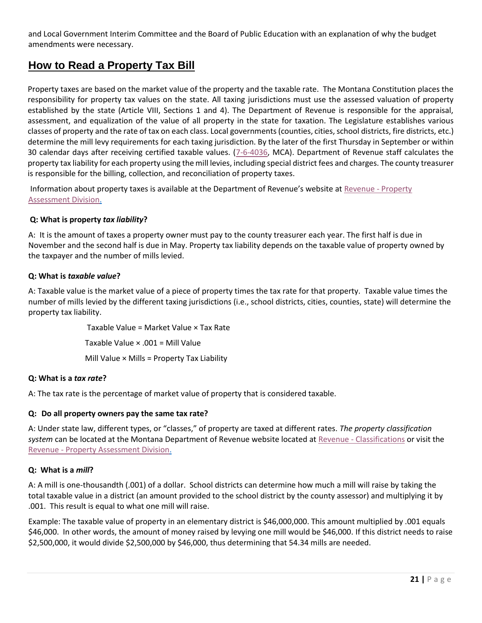and Local Government Interim Committee and the Board of Public Education with an explanation of why the budget amendments were necessary.

# <span id="page-20-0"></span>**How to Read a Property Tax Bill**

<span id="page-20-1"></span>Property taxes are based on the market value of the property and the taxable rate. The Montana Constitution places the responsibility for property tax values on the state. All taxing jurisdictions must use the assessed valuation of property established by the state (Article VIII, Sections 1 and 4). The Department of Revenue is responsible for the appraisal, assessment, and equalization of the value of all property in the state for taxation. The Legislature establishes various classes of property and the rate of tax on each class. Local governments (counties, cities, school districts, fire districts, etc.) determine the mill levy requirements for each taxing jurisdiction. By the later of the first Thursday in September or within 30 calendar days after receiving certified taxable values. [\(7-6-4036,](http://leg.mt.gov/bills/mca/title_0070/chapter_0060/part_0400/section_0360/0070-0060-0400-0360.html) MCA). Department of Revenue staff calculates the property tax liability for each property using the mill levies, including special district fees and charges. The county treasurer is responsible for the billing, collection, and reconciliation of property taxes.

Information about property taxes is available at the Department of Revenue's website at [Revenue -](http://revenue.mt.gov/home/property.aspx) Property [Assessment Division.](http://revenue.mt.gov/home/property.aspx)

# **Q: What is property** *tax liability***?**

A: It is the amount of taxes a property owner must pay to the county treasurer each year. The first half is due in November and the second half is due in May. Property tax liability depends on the taxable value of property owned by the taxpayer and the number of mills levied.

#### **Q: What is** *taxable value***?**

A: Taxable value is the market value of a piece of property times the tax rate for that property. Taxable value times the number of mills levied by the different taxing jurisdictions (i.e., school districts, cities, counties, state) will determine the property tax liability.

Taxable Value = Market Value × Tax Rate

Taxable Value × .001 = Mill Value

Mill Value × Mills = Property Tax Liability

# **Q: What is a** *tax rate***?**

A: The tax rate is the percentage of market value of property that is considered taxable.

# **Q: Do all property owners pay the same tax rate?**

A: Under state law, different types, or "classes," of property are taxed at different rates. *The property classification system* can be located at the Montana Department of Revenue website located at Revenue - [Classifications](https://revenue.mt.gov/property-types#Classifications) or visit the Revenue - [Property Assessment Division.](http://revenue.mt.gov/home/property.aspx)

# **Q: What is a** *mill***?**

A: A mill is one-thousandth (.001) of a dollar. School districts can determine how much a mill will raise by taking the total taxable value in a district (an amount provided to the school district by the county assessor) and multiplying it by .001. This result is equal to what one mill will raise.

Example: The taxable value of property in an elementary district is \$46,000,000. This amount multiplied by .001 equals \$46,000. In other words, the amount of money raised by levying one mill would be \$46,000. If this district needs to raise \$2,500,000, it would divide \$2,500,000 by \$46,000, thus determining that 54.34 mills are needed.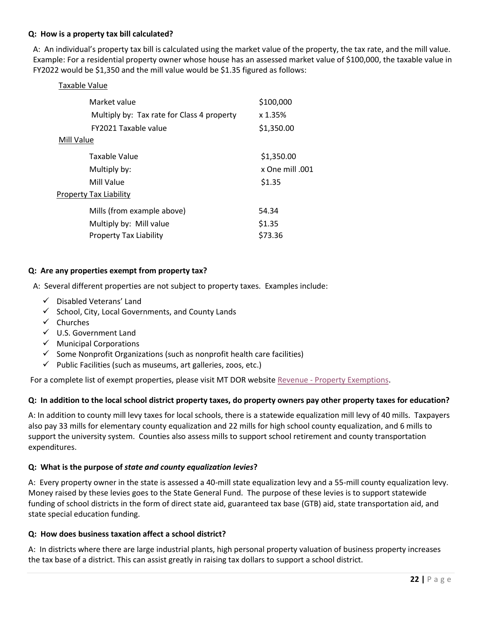#### **Q: How is a property tax bill calculated?**

A: An individual's property tax bill is calculated using the market value of the property, the tax rate, and the mill value. Example: For a residential property owner whose house has an assessed market value of \$100,000, the taxable value in FY2022 would be \$1,350 and the mill value would be \$1.35 figured as follows:

| <b>Taxable Value</b>                       |                |
|--------------------------------------------|----------------|
| Market value                               | \$100,000      |
| Multiply by: Tax rate for Class 4 property | x 1.35%        |
| <b>FY2021 Taxable value</b>                | \$1,350.00     |
| Mill Value                                 |                |
| Taxable Value                              | \$1,350.00     |
| Multiply by:                               | x One mill 001 |
| Mill Value                                 | \$1.35         |
| <b>Property Tax Liability</b>              |                |
| Mills (from example above)                 | 54.34          |
| Multiply by: Mill value                    | \$1.35         |
| <b>Property Tax Liability</b>              | \$73.36        |

#### **Q: Are any properties exempt from property tax?**

A: Several different properties are not subject to property taxes. Examples include:

- ✓ Disabled Veterans' Land
- $\checkmark$  School, City, Local Governments, and County Lands
- ✓ Churches
- ✓ U.S. Government Land
- $\checkmark$  Municipal Corporations
- $\checkmark$  Some Nonprofit Organizations (such as nonprofit health care facilities)
- $\checkmark$  Public Facilities (such as museums, art galleries, zoos, etc.)

For a complete list of exempt properties, please visit MT DOR website Revenue - [Property Exemptions.](https://revenue.mt.gov/exemptions)

#### **Q: In addition to the local school district property taxes, do property owners pay other property taxes for education?**

A: In addition to county mill levy taxes for local schools, there is a statewide equalization mill levy of 40 mills. Taxpayers also pay 33 mills for elementary county equalization and 22 mills for high school county equalization, and 6 mills to support the university system. Counties also assess mills to support school retirement and county transportation expenditures.

#### **Q: What is the purpose of** *state and county equalization levies***?**

A: Every property owner in the state is assessed a 40-mill state equalization levy and a 55-mill county equalization levy. Money raised by these levies goes to the State General Fund. The purpose of these levies is to support statewide funding of school districts in the form of direct state aid, guaranteed tax base (GTB) aid, state transportation aid, and state special education funding.

#### **Q: How does business taxation affect a school district?**

A: In districts where there are large industrial plants, high personal property valuation of business property increases the tax base of a district. This can assist greatly in raising tax dollars to support a school district.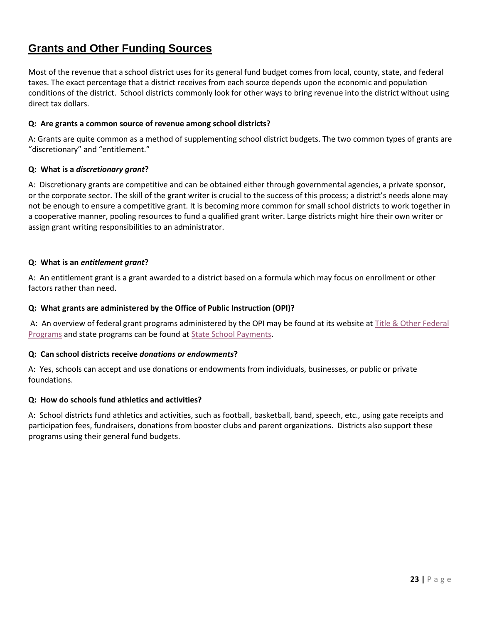# <span id="page-22-0"></span>**Grants and Other Funding Sources**

Most of the revenue that a school district uses for its general fund budget comes from local, county, state, and federal taxes. The exact percentage that a district receives from each source depends upon the economic and population conditions of the district. School districts commonly look for other ways to bring revenue into the district without using direct tax dollars.

### **Q: Are grants a common source of revenue among school districts?**

A: Grants are quite common as a method of supplementing school district budgets. The two common types of grants are "discretionary" and "entitlement."

#### **Q: What is a** *discretionary grant***?**

A: Discretionary grants are competitive and can be obtained either through governmental agencies, a private sponsor, or the corporate sector. The skill of the grant writer is crucial to the success of this process; a district's needs alone may not be enough to ensure a competitive grant. It is becoming more common for small school districts to work together in a cooperative manner, pooling resources to fund a qualified grant writer. Large districts might hire their own writer or assign grant writing responsibilities to an administrator.

#### **Q: What is an** *entitlement grant***?**

A: An entitlement grant is a grant awarded to a district based on a formula which may focus on enrollment or other factors rather than need.

#### **Q: What grants are administered by the Office of Public Instruction (OPI)?**

A: An overview of federal grant programs administered by the OPI may be found at its website at Title & Other Federal [Programs](http://opi.mt.gov/Leadership/Academic-Success/Title-Other-Federal-Programs) and state programs can be found at [State School Payments.](http://opi.mt.gov/Leadership/Finance-Grants/School-Finance/School-Finance-Payments)

#### **Q: Can school districts receive** *donations or endowments***?**

A: Yes, schools can accept and use donations or endowments from individuals, businesses, or public or private foundations.

#### **Q: How do schools fund athletics and activities?**

A: School districts fund athletics and activities, such as football, basketball, band, speech, etc., using gate receipts and participation fees, fundraisers, donations from booster clubs and parent organizations. Districts also support these programs using their general fund budgets.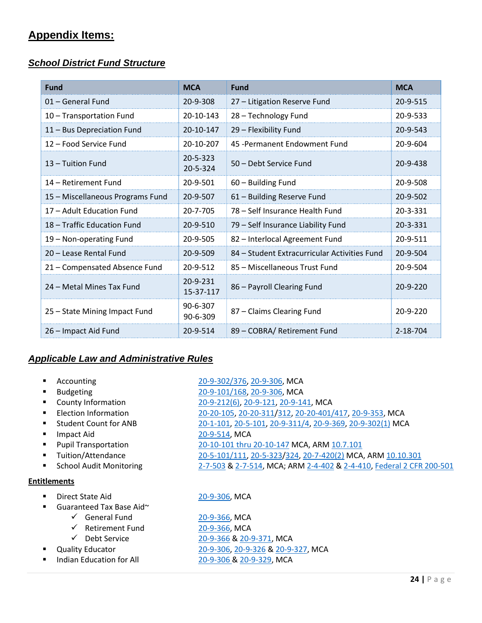# **Appendix Items:**

# <span id="page-23-0"></span>*School District Fund Structure*

| <b>Fund</b>                      | <b>MCA</b>            | <b>Fund</b>                                  | <b>MCA</b> |
|----------------------------------|-----------------------|----------------------------------------------|------------|
| 01 - General Fund                | 20-9-308              | 27 - Litigation Reserve Fund                 | 20-9-515   |
| 10 - Transportation Fund         | 20-10-143             | 28 - Technology Fund                         | 20-9-533   |
| 11 - Bus Depreciation Fund       | 20-10-147             | 29 - Flexibility Fund                        | 20-9-543   |
| 12 - Food Service Fund           | 20-10-207             | 45 - Permanent Endowment Fund                | 20-9-604   |
| 13 – Tuition Fund                | 20-5-323<br>20-5-324  | 50 – Debt Service Fund                       | 20-9-438   |
| 14 – Retirement Fund             | 20-9-501              | 60 - Building Fund                           | 20-9-508   |
| 15 - Miscellaneous Programs Fund | 20-9-507              | 61 - Building Reserve Fund                   | 20-9-502   |
| 17 - Adult Education Fund        | 20-7-705              | 78 – Self Insurance Health Fund              | 20-3-331   |
| 18 – Traffic Education Fund      | 20-9-510              | 79 - Self Insurance Liability Fund           | 20-3-331   |
| 19 - Non-operating Fund          | 20-9-505              | 82 - Interlocal Agreement Fund               | 20-9-511   |
| 20 - Lease Rental Fund           | 20-9-509              | 84 – Student Extracurricular Activities Fund | 20-9-504   |
| 21 - Compensated Absence Fund    | 20-9-512              | 85 - Miscellaneous Trust Fund                | 20-9-504   |
| 24 – Metal Mines Tax Fund        | 20-9-231<br>15-37-117 | 86 - Payroll Clearing Fund                   | 20-9-220   |
| 25 - State Mining Impact Fund    | 90-6-307<br>90-6-309  | 87 - Claims Clearing Fund                    | 20-9-220   |
| 26 - Impact Aid Fund             | 20-9-514              | 89 - COBRA/ Retirement Fund                  | 2-18-704   |

# <span id="page-23-1"></span>*Applicable Law and Administrative Rules*

|                     | Accounting                             | 20-9-302/376, 20-9-306, MCA                                          |
|---------------------|----------------------------------------|----------------------------------------------------------------------|
|                     | <b>Budgeting</b>                       | 20-9-101/168, 20-9-306, MCA                                          |
|                     | County Information                     | 20-9-212(6), 20-9-121, 20-9-141, MCA                                 |
|                     | Election Information                   | 20-20-105, 20-20-311/312, 20-20-401/417, 20-9-353, MCA               |
|                     | <b>Student Count for ANB</b>           | 20-1-101, 20-5-101, 20-9-311/4, 20-9-369, 20-9-302(1) MCA            |
|                     | Impact Aid                             | 20-9-514, MCA                                                        |
|                     | <b>Pupil Transportation</b>            | 20-10-101 thru 20-10-147 MCA, ARM 10.7.101                           |
|                     | Tuition/Attendance                     | 20-5-101/111, 20-5-323/324, 20-7-420(2) MCA, ARM 10.10.301           |
|                     | <b>School Audit Monitoring</b>         | 2-7-503 & 2-7-514, MCA; ARM 2-4-402 & 2-4-410, Federal 2 CFR 200-501 |
| <b>Entitlements</b> |                                        |                                                                      |
|                     | Direct State Aid                       | 20-9-306, MCA                                                        |
|                     | Guaranteed Tax Base Aid~               |                                                                      |
|                     | $\checkmark$ General Fund              | 20-9-366, MCA                                                        |
|                     | <b>Retirement Fund</b><br>$\checkmark$ | 20-9-366, MCA                                                        |
|                     | Debt Service<br>$\checkmark$           | 20-9-366 & 20-9-371, MCA                                             |
|                     | <b>Quality Educator</b>                | 20-9-306, 20-9-326 & 20-9-327, MCA                                   |

■ Indian Education for All [20-9-306](http://leg.mt.gov/bills/mca/title_0200/chapter_0090/part_0030/section_0060/0200-0090-0030-0060.html) [& 20-9-329,](http://leg.mt.gov/bills/mca/title_0200/chapter_0090/part_0030/section_0290/0200-0090-0030-0290.html) MCA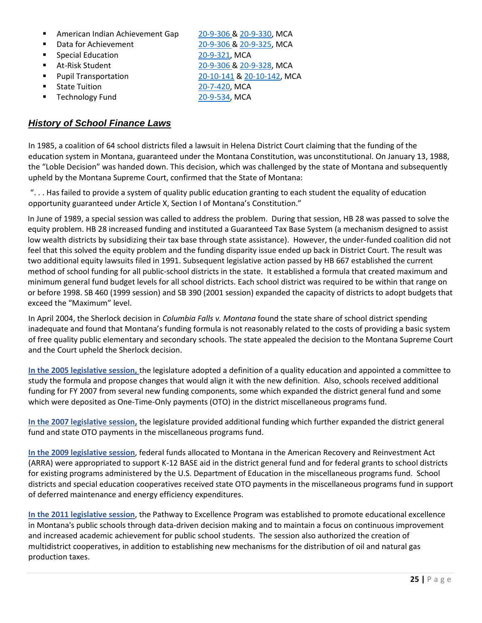- American Indian Achievement Gap [20-9-306](http://leg.mt.gov/bills/mca/title_0200/chapter_0090/part_0030/section_0060/0200-0090-0030-0060.html) [& 20-9-330,](http://leg.mt.gov/bills/mca/title_0200/chapter_0090/part_0030/section_0300/0200-0090-0030-0300.html) MCA
- 
- Special Education [20-9-321,](http://leg.mt.gov/bills/mca/title_0200/chapter_0090/part_0030/section_0210/0200-0090-0030-0210.html) MCA
- 
- 
- State Tuition [20-7-420,](http://leg.mt.gov/bills/mca/title_0200/chapter_0070/part_0040/section_0200/0200-0070-0040-0200.html) MCA
- Technology Fund [20-9-534,](http://leg.mt.gov/bills/mca/title_0200/chapter_0090/part_0050/section_0340/0200-0090-0050-0340.html) MCA

Data for Achievement [20-9-306](http://leg.mt.gov/bills/mca/title_0200/chapter_0090/part_0030/section_0060/0200-0090-0030-0060.html) [& 20-9-325,](http://leg.mt.gov/bills/mca/title_0200/chapter_0090/part_0030/section_0250/0200-0090-0030-0250.html) MCA ■ At-Risk Student [20-9-306](http://leg.mt.gov/bills/mca/title_0200/chapter_0090/part_0030/section_0060/0200-0090-0030-0060.html) [& 20-9-328,](http://leg.mt.gov/bills/mca/title_0200/chapter_0090/part_0030/section_0280/0200-0090-0030-0280.html) MCA ■ Pupil Transportation [20-10-141](http://leg.mt.gov/bills/mca/title_0200/chapter_0100/part_0010/section_0410/0200-0100-0010-0410.html) & [20-10-142,](http://leg.mt.gov/bills/mca/title_0200/chapter_0100/part_0010/section_0420/0200-0100-0010-0420.html) MCA

# <span id="page-24-0"></span>*History of School Finance Laws*

In 1985, a coalition of 64 school districts filed a lawsuit in Helena District Court claiming that the funding of the education system in Montana, guaranteed under the Montana Constitution, was unconstitutional. On January 13, 1988, the "Loble Decision" was handed down. This decision, which was challenged by the state of Montana and subsequently upheld by the Montana Supreme Court, confirmed that the State of Montana:

". . . Has failed to provide a system of quality public education granting to each student the equality of education opportunity guaranteed under Article X, Section I of Montana's Constitution."

In June of 1989, a special session was called to address the problem. During that session, HB 28 was passed to solve the equity problem. HB 28 increased funding and instituted a Guaranteed Tax Base System (a mechanism designed to assist low wealth districts by subsidizing their tax base through state assistance). However, the under-funded coalition did not feel that this solved the equity problem and the funding disparity issue ended up back in District Court. The result was two additional equity lawsuits filed in 1991. Subsequent legislative action passed by HB 667 established the current method of school funding for all public-school districts in the state. It established a formula that created maximum and minimum general fund budget levels for all school districts. Each school district was required to be within that range on or before 1998. SB 460 (1999 session) and SB 390 (2001 session) expanded the capacity of districts to adopt budgets that exceed the "Maximum" level.

In April 2004, the Sherlock decision in *Columbia Falls v. Montana* found the state share of school district spending inadequate and found that Montana's funding formula is not reasonably related to the costs of providing a basic system of free quality public elementary and secondary schools. The state appealed the decision to the Montana Supreme Court and the Court upheld the Sherlock decision.

**In the 2005 legislative session,** the legislature adopted a definition of a quality education and appointed a committee to study the formula and propose changes that would align it with the new definition. Also, schools received additional funding for FY 2007 from several new funding components, some which expanded the district general fund and some which were deposited as One-Time-Only payments (OTO) in the district miscellaneous programs fund.

**In the 2007 legislative session,** the legislature provided additional funding which further expanded the district general fund and state OTO payments in the miscellaneous programs fund.

**In the 2009 legislative session**, federal funds allocated to Montana in the American Recovery and Reinvestment Act (ARRA) were appropriated to support K-12 BASE aid in the district general fund and for federal grants to school districts for existing programs administered by the U.S. Department of Education in the miscellaneous programs fund. School districts and special education cooperatives received state OTO payments in the miscellaneous programs fund in support of deferred maintenance and energy efficiency expenditures.

**In the 2011 legislative session**, the Pathway to Excellence Program was established to promote educational excellence in Montana's public schools through data-driven decision making and to maintain a focus on continuous improvement and increased academic achievement for public school students. The session also authorized the creation of multidistrict cooperatives, in addition to establishing new mechanisms for the distribution of oil and natural gas production taxes.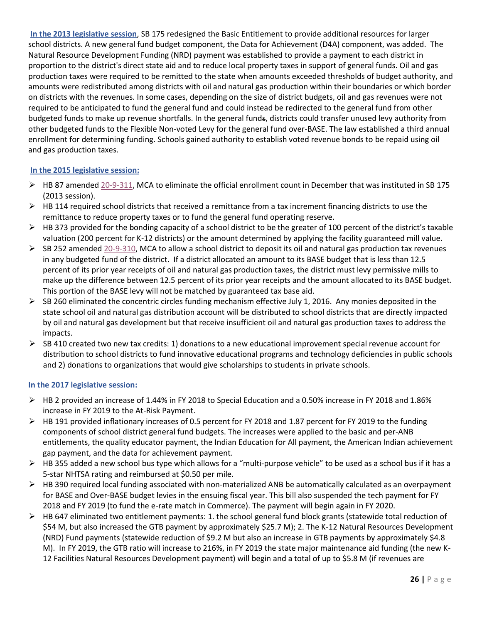**In the 2013 legislative session**, SB 175 redesigned the Basic Entitlement to provide additional resources for larger school districts. A new general fund budget component, the Data for Achievement (D4A) component, was added. The Natural Resource Development Funding (NRD) payment was established to provide a payment to each district in proportion to the district's direct state aid and to reduce local property taxes in support of general funds. Oil and gas production taxes were required to be remitted to the state when amounts exceeded thresholds of budget authority, and amounts were redistributed among districts with oil and natural gas production within their boundaries or which border on districts with the revenues. In some cases, depending on the size of district budgets, oil and gas revenues were not required to be anticipated to fund the general fund and could instead be redirected to the general fund from other budgeted funds to make up revenue shortfalls. In the general funds, districts could transfer unused levy authority from other budgeted funds to the Flexible Non-voted Levy for the general fund over-BASE. The law established a third annual enrollment for determining funding. Schools gained authority to establish voted revenue bonds to be repaid using oil and gas production taxes.

# **In the 2015 legislative session:**

- ➢ HB 87 amended [20-9-311,](http://leg.mt.gov/bills/mca/title_0200/chapter_0090/part_0030/section_0110/0200-0090-0030-0110.html) MCA to eliminate the official enrollment count in December that was instituted in SB 175 (2013 session).
- $\triangleright$  HB 114 required school districts that received a remittance from a tax increment financing districts to use the remittance to reduce property taxes or to fund the general fund operating reserve.
- $\triangleright$  HB 373 provided for the bonding capacity of a school district to be the greater of 100 percent of the district's taxable valuation (200 percent for K-12 districts) or the amount determined by applying the facility guaranteed mill value.
- $\triangleright$  SB 252 amended [20-9-310,](http://leg.mt.gov/bills/mca/title_0200/chapter_0090/part_0030/section_0100/0200-0090-0030-0100.html) MCA to allow a school district to deposit its oil and natural gas production tax revenues in any budgeted fund of the district. If a district allocated an amount to its BASE budget that is less than 12.5 percent of its prior year receipts of oil and natural gas production taxes, the district must levy permissive mills to make up the difference between 12.5 percent of its prior year receipts and the amount allocated to its BASE budget. This portion of the BASE levy will not be matched by guaranteed tax base aid.
- $\triangleright$  SB 260 eliminated the concentric circles funding mechanism effective July 1, 2016. Any monies deposited in the state school oil and natural gas distribution account will be distributed to school districts that are directly impacted by oil and natural gas development but that receive insufficient oil and natural gas production taxes to address the impacts.
- $\triangleright$  SB 410 created two new tax credits: 1) donations to a new educational improvement special revenue account for distribution to school districts to fund innovative educational programs and technology deficiencies in public schools and 2) donations to organizations that would give scholarships to students in private schools.

#### **In the 2017 legislative session:**

- ➢ HB 2 provided an increase of 1.44% in FY 2018 to Special Education and a 0.50% increase in FY 2018 and 1.86% increase in FY 2019 to the At-Risk Payment.
- $\triangleright$  HB 191 provided inflationary increases of 0.5 percent for FY 2018 and 1.87 percent for FY 2019 to the funding components of school district general fund budgets. The increases were applied to the basic and per‐ANB entitlements, the quality educator payment, the Indian Education for All payment, the American Indian achievement gap payment, and the data for achievement payment.
- $\triangleright$  HB 355 added a new school bus type which allows for a "multi-purpose vehicle" to be used as a school bus if it has a 5-star NHTSA rating and reimbursed at \$0.50 per mile.
- $\triangleright$  HB 390 required local funding associated with non-materialized ANB be automatically calculated as an overpayment for BASE and Over-BASE budget levies in the ensuing fiscal year. This bill also suspended the tech payment for FY 2018 and FY 2019 (to fund the e-rate match in Commerce). The payment will begin again in FY 2020.
- $\triangleright$  HB 647 eliminated two entitlement payments: 1. the school general fund block grants (statewide total reduction of \$54 M, but also increased the GTB payment by approximately \$25.7 M); 2. The K-12 Natural Resources Development (NRD) Fund payments (statewide reduction of \$9.2 M but also an increase in GTB payments by approximately \$4.8 M). In FY 2019, the GTB ratio will increase to 216%, in FY 2019 the state major maintenance aid funding (the new K-12 Facilities Natural Resources Development payment) will begin and a total of up to \$5.8 M (if revenues are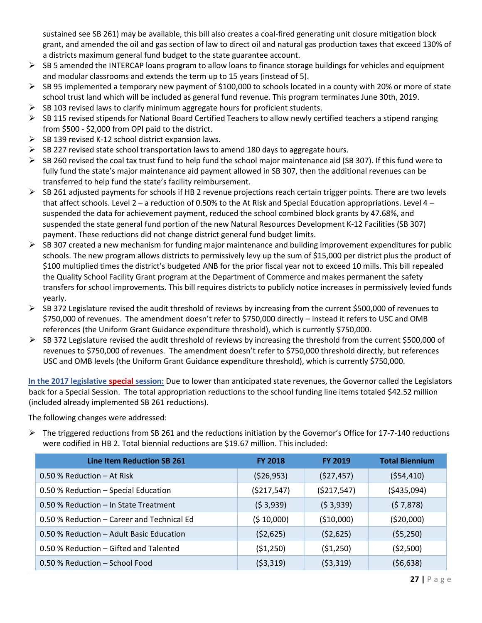sustained see SB 261) may be available, this bill also creates a coal-fired generating unit closure mitigation block grant, and amended the oil and gas section of law to direct oil and natural gas production taxes that exceed 130% of a districts maximum general fund budget to the state guarantee account.

- $\triangleright$  SB 5 amended the INTERCAP loans program to allow loans to finance storage buildings for vehicles and equipment and modular classrooms and extends the term up to 15 years (instead of 5).
- ➢ SB 95 implemented a temporary new payment of \$100,000 to schools located in a county with 20% or more of state school trust land which will be included as general fund revenue. This program terminates June 30th, 2019.
- $\triangleright$  SB 103 revised laws to clarify minimum aggregate hours for proficient students.
- $\triangleright$  SB 115 revised stipends for National Board Certified Teachers to allow newly certified teachers a stipend ranging from \$500 - \$2,000 from OPI paid to the district.
- $\triangleright$  SB 139 revised K-12 school district expansion laws.
- $\triangleright$  SB 227 revised state school transportation laws to amend 180 days to aggregate hours.
- $\triangleright$  SB 260 revised the coal tax trust fund to help fund the school major maintenance aid (SB 307). If this fund were to fully fund the state's major maintenance aid payment allowed in SB 307, then the additional revenues can be transferred to help fund the state's facility reimbursement.
- $\triangleright$  SB 261 adjusted payments for schools if HB 2 revenue projections reach certain trigger points. There are two levels that affect schools. Level 2 – a reduction of 0.50% to the At Risk and Special Education appropriations. Level 4 – suspended the data for achievement payment, reduced the school combined block grants by 47.68%, and suspended the state general fund portion of the new Natural Resources Development K-12 Facilities (SB 307) payment. These reductions did not change district general fund budget limits.
- $\triangleright$  SB 307 created a new mechanism for funding major maintenance and building improvement expenditures for public schools. The new program allows districts to permissively levy up the sum of \$15,000 per district plus the product of \$100 multiplied times the district's budgeted ANB for the prior fiscal year not to exceed 10 mills. This bill repealed the Quality School Facility Grant program at the Department of Commerce and makes permanent the safety transfers for school improvements. This bill requires districts to publicly notice increases in permissively levied funds yearly.
- $\triangleright$  SB 372 Legislature revised the audit threshold of reviews by increasing from the current \$500,000 of revenues to \$750,000 of revenues. The amendment doesn't refer to \$750,000 directly – instead it refers to USC and OMB references (the Uniform Grant Guidance expenditure threshold), which is currently \$750,000.
- $\triangleright$  SB 372 Legislature revised the audit threshold of reviews by increasing the threshold from the current \$500,000 of revenues to \$750,000 of revenues. The amendment doesn't refer to \$750,000 threshold directly, but references USC and OMB levels (the Uniform Grant Guidance expenditure threshold), which is currently \$750,000.

**In the 2017 legislative special session:** Due to lower than anticipated state revenues, the Governor called the Legislators back for a Special Session. The total appropriation reductions to the school funding line items totaled \$42.52 million (included already implemented SB 261 reductions).

The following changes were addressed:

 $\triangleright$  The triggered reductions from SB 261 and the reductions initiation by the Governor's Office for 17-7-140 reductions were codified in HB 2. Total biennial reductions are \$19.67 million. This included:

| Line Item Reduction SB 261                 | <b>FY 2018</b> | <b>FY 2019</b> | <b>Total Biennium</b> |
|--------------------------------------------|----------------|----------------|-----------------------|
| $0.50$ % Reduction $-$ At Risk             | (526, 953)     | (527, 457)     | (554, 410)            |
| 0.50 % Reduction - Special Education       | (5217, 547)    | (5217, 547)    | ( \$435,094)          |
| 0.50 % Reduction - In State Treatment      | (53,939)       | (53,939)       | (57,878)              |
| 0.50 % Reduction – Career and Technical Ed | (510,000)      | (\$10,000)     | (520,000)             |
| 0.50 % Reduction – Adult Basic Education   | (52, 625)      | (52,625)       | (55,250)              |
| 0.50 % Reduction – Gifted and Talented     | (51,250)       | (51,250)       | (52,500)              |
| 0.50 % Reduction - School Food             | (53,319)       | (53,319)       | (56, 638)             |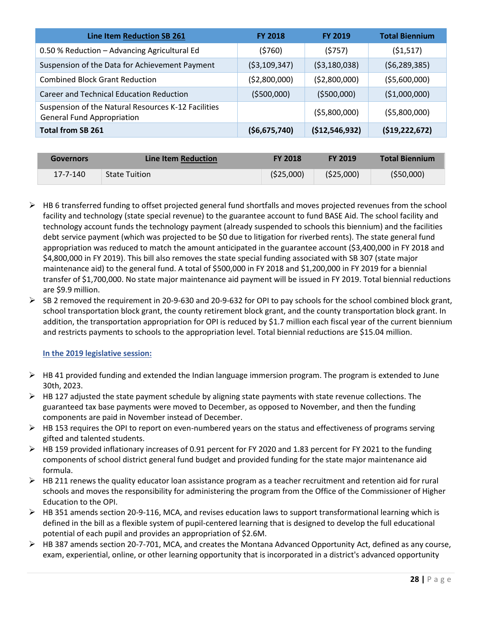| Line Item Reduction SB 261                                                               | <b>FY 2018</b> | <b>FY 2019</b> | <b>Total Biennium</b> |
|------------------------------------------------------------------------------------------|----------------|----------------|-----------------------|
| 0.50 % Reduction - Advancing Agricultural Ed                                             | (5760)         | (5757)         | (51,517)              |
| Suspension of the Data for Achievement Payment                                           | ( \$3,109,347) | ( \$3,180,038) | (56, 289, 385)        |
| <b>Combined Block Grant Reduction</b>                                                    | (52,800,000)   | ( \$2,800,000) | (55,600,000)          |
| Career and Technical Education Reduction                                                 | ( \$500,000)   | (5500,000)     | ( \$1,000,000)        |
| Suspension of the Natural Resources K-12 Facilities<br><b>General Fund Appropriation</b> |                | (55,800,000)   | ( \$5,800,000)        |
| <b>Total from SB 261</b>                                                                 | ( \$6,675,740) | (\$12,546,932) | (519, 222, 672)       |

| <b>Governors</b> | Line Item Reduction  | <b>FY 2018</b> | <b>FY 2019</b> | <b>Total Biennium</b> |
|------------------|----------------------|----------------|----------------|-----------------------|
| 17-7-140         | <b>State Tuition</b> | (525,000)      | (525,000)      | (550,000)             |

- $\triangleright$  HB 6 transferred funding to offset projected general fund shortfalls and moves projected revenues from the school facility and technology (state special revenue) to the guarantee account to fund BASE Aid. The school facility and technology account funds the technology payment (already suspended to schools this biennium) and the facilities debt service payment (which was projected to be \$0 due to litigation for riverbed rents). The state general fund appropriation was reduced to match the amount anticipated in the guarantee account (\$3,400,000 in FY 2018 and \$4,800,000 in FY 2019). This bill also removes the state special funding associated with SB 307 (state major maintenance aid) to the general fund. A total of \$500,000 in FY 2018 and \$1,200,000 in FY 2019 for a biennial transfer of \$1,700,000. No state major maintenance aid payment will be issued in FY 2019. Total biennial reductions are \$9.9 million.
- $\triangleright$  SB 2 removed the requirement in 20-9-630 and 20-9-632 for OPI to pay schools for the school combined block grant, school transportation block grant, the county retirement block grant, and the county transportation block grant. In addition, the transportation appropriation for OPI is reduced by \$1.7 million each fiscal year of the current biennium and restricts payments to schools to the appropriation level. Total biennial reductions are \$15.04 million.

# **In the 2019 legislative session:**

- $\triangleright$  HB 41 provided funding and extended the Indian language immersion program. The program is extended to June 30th, 2023.
- $\triangleright$  HB 127 adjusted the state payment schedule by aligning state payments with state revenue collections. The guaranteed tax base payments were moved to December, as opposed to November, and then the funding components are paid in November instead of December.
- $\triangleright$  HB 153 requires the OPI to report on even-numbered years on the status and effectiveness of programs serving gifted and talented students.
- ➢ HB 159 provided inflationary increases of 0.91 percent for FY 2020 and 1.83 percent for FY 2021 to the funding components of school district general fund budget and provided funding for the state major maintenance aid formula.
- $\triangleright$  HB 211 renews the quality educator loan assistance program as a teacher recruitment and retention aid for rural schools and moves the responsibility for administering the program from the Office of the Commissioner of Higher Education to the OPI.
- $\triangleright$  HB 351 amends section 20-9-116, MCA, and revises education laws to support transformational learning which is defined in the bill as a flexible system of pupil-centered learning that is designed to develop the full educational potential of each pupil and provides an appropriation of \$2.6M.
- ➢ HB 387 amends section 20-7-701, MCA, and creates the Montana Advanced Opportunity Act, defined as any course, exam, experiential, online, or other learning opportunity that is incorporated in a district's advanced opportunity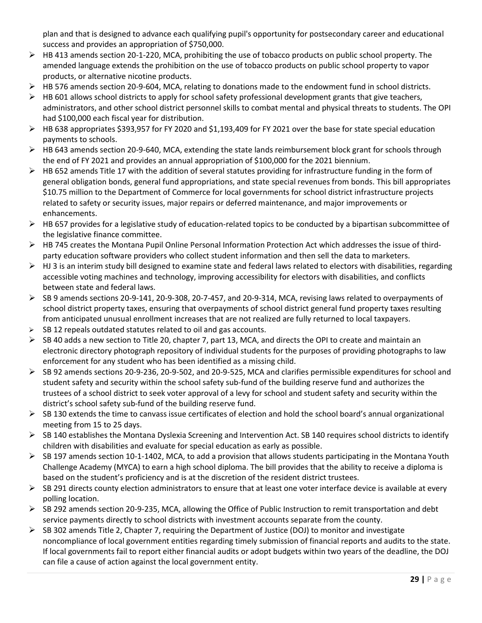plan and that is designed to advance each qualifying pupil's opportunity for postsecondary career and educational success and provides an appropriation of \$750,000.

- ➢ HB 413 amends section 20-1-220, MCA, prohibiting the use of tobacco products on public school property. The amended language extends the prohibition on the use of tobacco products on public school property to vapor products, or alternative nicotine products.
- ➢ HB 576 amends section 20-9-604, MCA, relating to donations made to the endowment fund in school districts.
- $\triangleright$  HB 601 allows school districts to apply for school safety professional development grants that give teachers, administrators, and other school district personnel skills to combat mental and physical threats to students. The OPI had \$100,000 each fiscal year for distribution.
- ➢ HB 638 appropriates \$393,957 for FY 2020 and \$1,193,409 for FY 2021 over the base for state special education payments to schools.
- ➢ HB 643 amends section 20-9-640, MCA, extending the state lands reimbursement block grant for schools through the end of FY 2021 and provides an annual appropriation of \$100,000 for the 2021 biennium.
- $\triangleright$  HB 652 amends Title 17 with the addition of several statutes providing for infrastructure funding in the form of general obligation bonds, general fund appropriations, and state special revenues from bonds. This bill appropriates \$10.75 million to the Department of Commerce for local governments for school district infrastructure projects related to safety or security issues, major repairs or deferred maintenance, and major improvements or enhancements.
- $\triangleright$  HB 657 provides for a legislative study of education-related topics to be conducted by a bipartisan subcommittee of the legislative finance committee.
- ➢ HB 745 creates the Montana Pupil Online Personal Information Protection Act which addresses the issue of thirdparty education software providers who collect student information and then sell the data to marketers.
- $\triangleright$  HJ 3 is an interim study bill designed to examine state and federal laws related to electors with disabilities, regarding accessible voting machines and technology, improving accessibility for electors with disabilities, and conflicts between state and federal laws.
- ➢ SB 9 amends sections 20-9-141, 20-9-308, 20-7-457, and 20-9-314, MCA, revising laws related to overpayments of school district property taxes, ensuring that overpayments of school district general fund property taxes resulting from anticipated unusual enrollment increases that are not realized are fully returned to local taxpayers.
- $\geq$  SB 12 repeals outdated statutes related to oil and gas accounts.
- $\triangleright$  SB 40 adds a new section to Title 20, chapter 7, part 13, MCA, and directs the OPI to create and maintain an electronic directory photograph repository of individual students for the purposes of providing photographs to law enforcement for any student who has been identified as a missing child.
- ➢ SB 92 amends sections 20-9-236, 20-9-502, and 20-9-525, MCA and clarifies permissible expenditures for school and student safety and security within the school safety sub-fund of the building reserve fund and authorizes the trustees of a school district to seek voter approval of a levy for school and student safety and security within the district's school safety sub-fund of the building reserve fund.
- $\triangleright$  SB 130 extends the time to canvass issue certificates of election and hold the school board's annual organizational meeting from 15 to 25 days.
- $\triangleright$  SB 140 establishes the Montana Dyslexia Screening and Intervention Act. SB 140 requires school districts to identify children with disabilities and evaluate for special education as early as possible.
- $\triangleright$  SB 197 amends section 10-1-1402, MCA, to add a provision that allows students participating in the Montana Youth Challenge Academy (MYCA) to earn a high school diploma. The bill provides that the ability to receive a diploma is based on the student's proficiency and is at the discretion of the resident district trustees.
- $\triangleright$  SB 291 directs county election administrators to ensure that at least one voter interface device is available at every polling location.
- ➢ SB 292 amends section 20-9-235, MCA, allowing the Office of Public Instruction to remit transportation and debt service payments directly to school districts with investment accounts separate from the county.
- <span id="page-28-0"></span> $\triangleright$  SB 302 amends Title 2, Chapter 7, requiring the Department of Justice (DOJ) to monitor and investigate noncompliance of local government entities regarding timely submission of financial reports and audits to the state. If local governments fail to report either financial audits or adopt budgets within two years of the deadline, the DOJ can file a cause of action against the local government entity.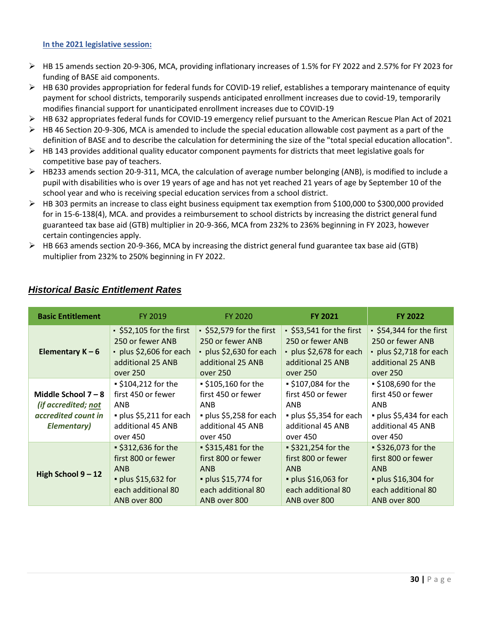#### **In the 2021 legislative session:**

- $\triangleright$  HB 15 amends section 20-9-306, MCA, providing inflationary increases of 1.5% for FY 2022 and 2.57% for FY 2023 for funding of BASE aid components.
- $\triangleright$  HB 630 provides appropriation for federal funds for COVID-19 relief, establishes a temporary maintenance of equity payment for school districts, temporarily suspends anticipated enrollment increases due to covid-19, temporarily modifies financial support for unanticipated enrollment increases due to COVID-19
- ➢ HB 632 appropriates federal funds for COVID-19 emergency relief pursuant to the American Rescue Plan Act of 2021
- $\triangleright$  HB 46 Section 20-9-306, MCA is amended to include the special education allowable cost payment as a part of the definition of BASE and to describe the calculation for determining the size of the "total special education allocation".
- $\triangleright$  HB 143 provides additional quality educator component payments for districts that meet legislative goals for competitive base pay of teachers.
- $\triangleright$  HB233 amends section 20-9-311, MCA, the calculation of average number belonging (ANB), is modified to include a pupil with disabilities who is over 19 years of age and has not yet reached 21 years of age by September 10 of the school year and who is receiving special education services from a school district.
- ➢ HB 303 permits an increase to class eight business equipment tax exemption from \$100,000 to \$300,000 provided for in 15-6-138(4), MCA. and provides a reimbursement to school districts by increasing the district general fund guaranteed tax base aid (GTB) multiplier in 20-9-366, MCA from 232% to 236% beginning in FY 2023, however certain contingencies apply.
- ➢ HB 663 amends section 20-9-366, MCA by increasing the district general fund guarantee tax base aid (GTB) multiplier from 232% to 250% beginning in FY 2022.

| <b>Basic Entitlement</b>                                                                   | FY 2019                                                                                                                                                                                                                                                                                                                             | FY 2020                                                                                                                      | <b>FY 2021</b>                                                                                                       | <b>FY 2022</b>                                                                                                             |
|--------------------------------------------------------------------------------------------|-------------------------------------------------------------------------------------------------------------------------------------------------------------------------------------------------------------------------------------------------------------------------------------------------------------------------------------|------------------------------------------------------------------------------------------------------------------------------|----------------------------------------------------------------------------------------------------------------------|----------------------------------------------------------------------------------------------------------------------------|
| Elementary $K - 6$                                                                         | • \$52,579 for the first<br>S53,541 for the first<br>$\cdot$ \$52,105 for the first<br>250 or fewer ANB<br>250 or fewer ANB<br>250 or fewer ANB<br>· plus \$2,606 for each<br>- plus \$2,630 for each<br>· plus \$2,678 for each<br>additional 25 ANB<br>additional 25 ANB<br>additional 25 ANB<br>over 250<br>over 250<br>over 250 |                                                                                                                              | $\cdot$ \$54,344 for the first<br>250 or fewer ANB<br>• plus \$2,718 for each<br>additional 25 ANB<br>over 250       |                                                                                                                            |
| Middle School $7 - 8$<br>(if accredited; not<br>accredited count in<br><b>Elementary</b> ) | $\frac{1}{2}$ \$104,212 for the<br>first 450 or fewer<br>ANB<br>· plus \$5,211 for each<br>additional 45 ANB<br>over 450                                                                                                                                                                                                            | • \$105,160 for the<br>first 450 or fewer<br>ANB<br>· plus \$5,258 for each<br>additional 45 ANB<br>over 450                 | ■ \$107,084 for the<br>first 450 or fewer<br><b>ANB</b><br>· plus \$5,354 for each<br>additional 45 ANB<br>over 450  | $\cdot$ \$108,690 for the<br>first 450 or fewer<br>ANB<br>· plus \$5,434 for each<br>additional 45 ANB<br>over 450         |
| High School $9 - 12$                                                                       | ■ \$312,636 for the<br>first 800 or fewer<br><b>ANB</b><br>• plus \$15,632 for<br>each additional 80<br>ANB over 800                                                                                                                                                                                                                | ■ \$315,481 for the<br>first 800 or fewer<br><b>ANB</b><br>$\bullet$ plus \$15,774 for<br>each additional 80<br>ANB over 800 | ■ \$321,254 for the<br>first 800 or fewer<br><b>ANB</b><br>· plus \$16,063 for<br>each additional 80<br>ANB over 800 | ■ \$326,073 for the<br>first 800 or fewer<br><b>ANB</b><br>$\cdot$ plus \$16,304 for<br>each additional 80<br>ANB over 800 |

# *Historical Basic Entitlement Rates*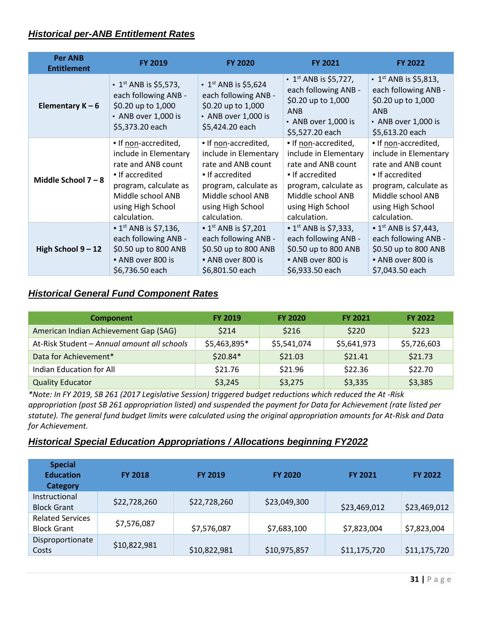# <span id="page-30-0"></span>*Historical per-ANB Entitlement Rates*

| <b>Per ANB</b><br><b>Entitlement</b> | <b>FY 2019</b>                                                                                                                  | <b>FY 2020</b>                                                                                                                 | <b>FY 2021</b>                                                                                                                                | <b>FY 2022</b>                                                                                                                                |
|--------------------------------------|---------------------------------------------------------------------------------------------------------------------------------|--------------------------------------------------------------------------------------------------------------------------------|-----------------------------------------------------------------------------------------------------------------------------------------------|-----------------------------------------------------------------------------------------------------------------------------------------------|
| Elementary $K - 6$                   | $\cdot$ 1 <sup>st</sup> ANB is \$5,573,<br>each following ANB -<br>\$0.20 up to 1,000<br>• ANB over 1,000 is<br>\$5,373.20 each | $\cdot$ 1 <sup>st</sup> ANB is \$5,624<br>each following ANB -<br>\$0.20 up to 1,000<br>- ANB over 1,000 is<br>\$5,424.20 each | $\cdot$ 1 <sup>st</sup> ANB is \$5,727,<br>each following ANB -<br>\$0.20 up to 1,000<br><b>ANB</b><br>• ANB over 1,000 is<br>\$5,527.20 each | $\cdot$ 1 <sup>st</sup> ANB is \$5,813,<br>each following ANB -<br>\$0.20 up to 1,000<br><b>ANB</b><br>• ANB over 1,000 is<br>\$5,613.20 each |
| Middle School 7-8                    | . If non-accredited,                                                                                                            | . If non-accredited,                                                                                                           | . If non-accredited,                                                                                                                          | . If non-accredited,                                                                                                                          |
|                                      | include in Elementary                                                                                                           | include in Elementary                                                                                                          | include in Elementary                                                                                                                         | include in Elementary                                                                                                                         |
|                                      | rate and ANB count                                                                                                              | rate and ANB count                                                                                                             | rate and ANB count                                                                                                                            | rate and ANB count                                                                                                                            |
|                                      | If accredited                                                                                                                   | If accredited                                                                                                                  | If accredited                                                                                                                                 | If accredited                                                                                                                                 |
|                                      | program, calculate as                                                                                                           | program, calculate as                                                                                                          | program, calculate as                                                                                                                         | program, calculate as                                                                                                                         |
|                                      | Middle school ANB                                                                                                               | Middle school ANB                                                                                                              | Middle school ANB                                                                                                                             | Middle school ANB                                                                                                                             |
|                                      | using High School                                                                                                               | using High School                                                                                                              | using High School                                                                                                                             | using High School                                                                                                                             |
|                                      | calculation.                                                                                                                    | calculation.                                                                                                                   | calculation.                                                                                                                                  | calculation.                                                                                                                                  |
| High School 9-12                     | $\blacksquare$ 1 <sup>st</sup> ANB is \$7,136,                                                                                  | $\blacksquare$ 1 <sup>st</sup> ANB is \$7,201                                                                                  | $\blacksquare$ 1 <sup>st</sup> ANB is \$7,333,                                                                                                | $\bullet$ 1 <sup>st</sup> ANB is \$7,443,                                                                                                     |
|                                      | each following ANB -                                                                                                            | each following ANB -                                                                                                           | each following ANB -                                                                                                                          | each following ANB -                                                                                                                          |
|                                      | \$0.50 up to 800 ANB                                                                                                            | \$0.50 up to 800 ANB                                                                                                           | \$0.50 up to 800 ANB                                                                                                                          | \$0.50 up to 800 ANB                                                                                                                          |
|                                      | • ANB over 800 is                                                                                                               | • ANB over 800 is                                                                                                              | ANB over 800 is                                                                                                                               | • ANB over 800 is                                                                                                                             |
|                                      | \$6,736.50 each                                                                                                                 | \$6,801.50 each                                                                                                                | \$6,933.50 each                                                                                                                               | \$7,043.50 each                                                                                                                               |

# <span id="page-30-1"></span>*Historical General Fund Component Rates*

| <b>Component</b>                            | <b>FY 2019</b> | <b>FY 2020</b> | <b>FY 2021</b> | <b>FY 2022</b> |
|---------------------------------------------|----------------|----------------|----------------|----------------|
| American Indian Achievement Gap (SAG)       | \$214          | \$216          | \$220          | \$223          |
| At-Risk Student - Annual amount all schools | \$5,463,895*   | \$5,541,074    | \$5,641,973    | \$5,726,603    |
| Data for Achievement*                       | $$20.84*$      | \$21.03        | \$21.41        | \$21.73        |
| Indian Education for All                    | \$21.76        | \$21.96        | \$22.36        | \$22.70        |
| <b>Quality Educator</b>                     | \$3,245        | \$3,275        | \$3,335        | \$3,385        |

*\*Note: In FY 2019, SB 261 (2017 Legislative Session) triggered budget reductions which reduced the At -Risk appropriation (post SB 261 appropriation listed) and suspended the payment for Data for Achievement (rate listed per statute). The general fund budget limits were calculated using the original appropriation amounts for At-Risk and Data for Achievement.* 

# <span id="page-30-2"></span>*Historical Special Education Appropriations / Allocations beginning FY2022*

| <b>Special</b><br><b>Education</b><br><b>Category</b> | <b>FY 2018</b> | <b>FY 2019</b> | <b>FY 2020</b> | <b>FY 2021</b> | <b>FY 2022</b> |
|-------------------------------------------------------|----------------|----------------|----------------|----------------|----------------|
| Instructional<br><b>Block Grant</b>                   | \$22,728,260   | \$22,728,260   | \$23,049,300   | \$23,469,012   | \$23,469,012   |
| <b>Related Services</b><br><b>Block Grant</b>         | \$7,576,087    | \$7,576,087    | \$7,683,100    | \$7,823,004    | \$7,823,004    |
| Disproportionate<br>Costs                             | \$10,822,981   | \$10,822,981   | \$10,975,857   | \$11,175,720   | \$11,175,720   |